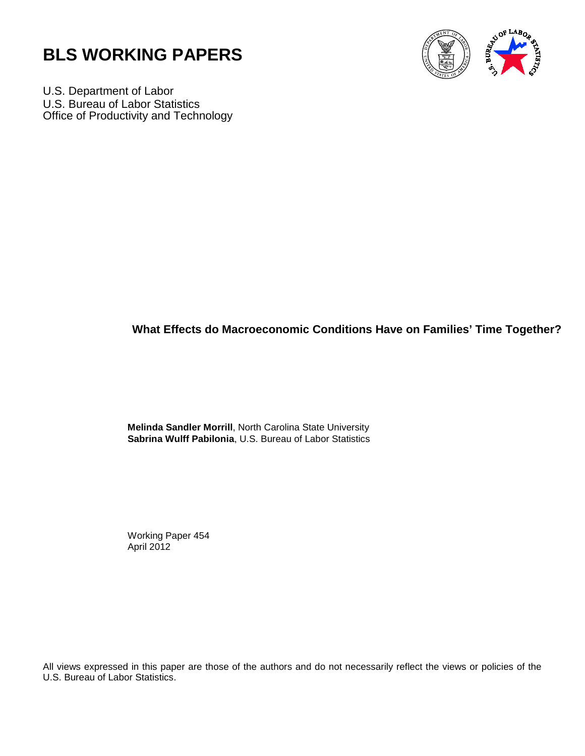



U.S. Department of Labor U.S. Bureau of Labor Statistics Office of Productivity and Technology

## **What Effects do Macroeconomic Conditions Have on Families' Time Together?**

 **Melinda Sandler Morrill**, North Carolina State University **Sabrina Wulff Pabilonia**, U.S. Bureau of Labor Statistics

 Working Paper 454 April 2012

All views expressed in this paper are those of the authors and do not necessarily reflect the views or policies of the U.S. Bureau of Labor Statistics.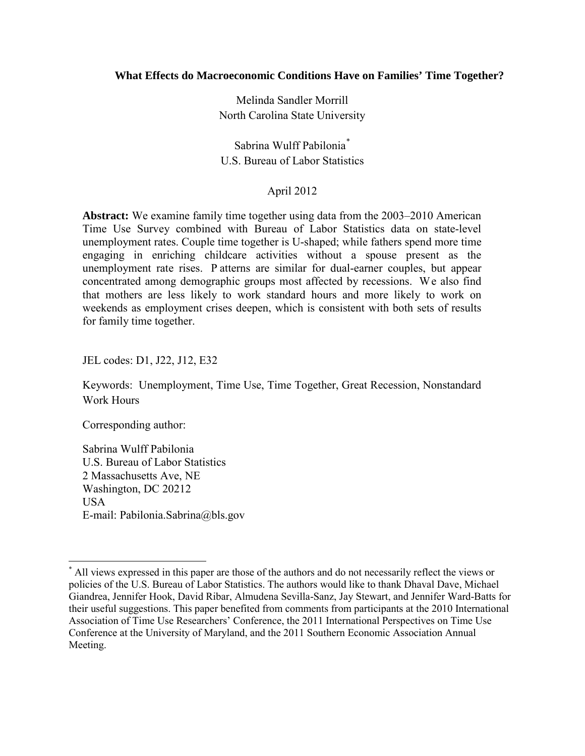#### **What Effects do Macroeconomic Conditions Have on Families' Time Together?**

Melinda Sandler Morrill North Carolina State University

Sabrina Wulff Pabilonia[\\*](#page-1-0) U.S. Bureau of Labor Statistics

#### April 2012

**Abstract:** We examine family time together using data from the 2003–2010 American Time Use Survey combined with Bureau of Labor Statistics data on state-level unemployment rates. Couple time together is U-shaped; while fathers spend more time engaging in enriching childcare activities without a spouse present as the unemployment rate rises. P atterns are similar for dual-earner couples, but appear concentrated among demographic groups most affected by recessions. We also find that mothers are less likely to work standard hours and more likely to work on weekends as employment crises deepen, which is consistent with both sets of results for family time together.

JEL codes: D1, J22, J12, E32

Keywords: Unemployment, Time Use, Time Together, Great Recession, Nonstandard Work Hours

Corresponding author:

ı

Sabrina Wulff Pabilonia U.S. Bureau of Labor Statistics 2 Massachusetts Ave, NE Washington, DC 20212 USA E-mail: Pabilonia.Sabrina@bls.gov

<span id="page-1-0"></span><sup>\*</sup> All views expressed in this paper are those of the authors and do not necessarily reflect the views or policies of the U.S. Bureau of Labor Statistics. The authors would like to thank Dhaval Dave, Michael Giandrea, Jennifer Hook, David Ribar, Almudena Sevilla-Sanz, Jay Stewart, and Jennifer Ward-Batts for their useful suggestions. This paper benefited from comments from participants at the 2010 International Association of Time Use Researchers' Conference, the 2011 International Perspectives on Time Use Conference at the University of Maryland, and the 2011 Southern Economic Association Annual Meeting.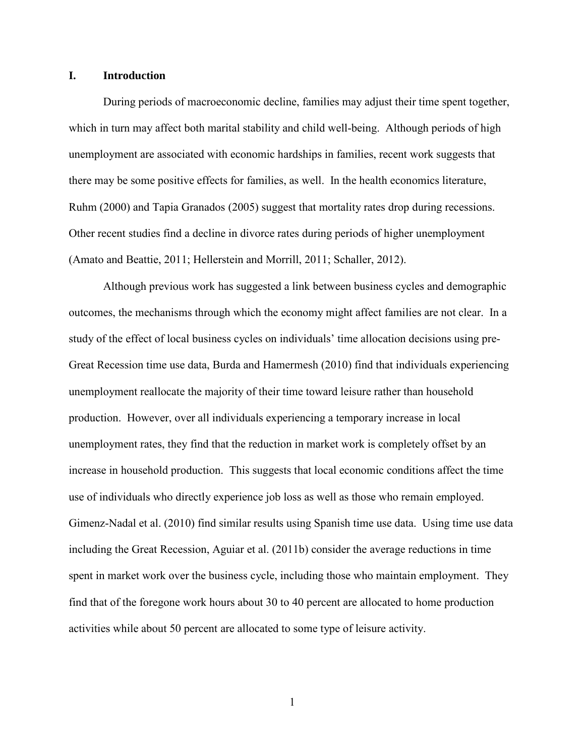#### **I. Introduction**

During periods of macroeconomic decline, families may adjust their time spent together, which in turn may affect both marital stability and child well-being. Although periods of high unemployment are associated with economic hardships in families, recent work suggests that there may be some positive effects for families, as well. In the health economics literature, Ruhm (2000) and Tapia Granados (2005) suggest that mortality rates drop during recessions. Other recent studies find a decline in divorce rates during periods of higher unemployment (Amato and Beattie, 2011; Hellerstein and Morrill, 2011; Schaller, 2012).

Although previous work has suggested a link between business cycles and demographic outcomes, the mechanisms through which the economy might affect families are not clear. In a study of the effect of local business cycles on individuals' time allocation decisions using pre-Great Recession time use data, Burda and Hamermesh (2010) find that individuals experiencing unemployment reallocate the majority of their time toward leisure rather than household production. However, over all individuals experiencing a temporary increase in local unemployment rates, they find that the reduction in market work is completely offset by an increase in household production. This suggests that local economic conditions affect the time use of individuals who directly experience job loss as well as those who remain employed. Gimenz-Nadal et al. (2010) find similar results using Spanish time use data. Using time use data including the Great Recession, Aguiar et al. (2011b) consider the average reductions in time spent in market work over the business cycle, including those who maintain employment. They find that of the foregone work hours about 30 to 40 percent are allocated to home production activities while about 50 percent are allocated to some type of leisure activity.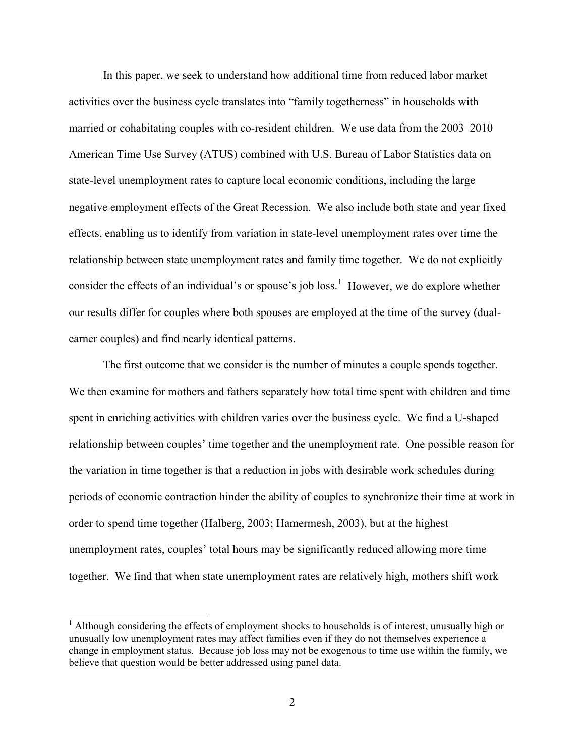In this paper, we seek to understand how additional time from reduced labor market activities over the business cycle translates into "family togetherness" in households with married or cohabitating couples with co-resident children. We use data from the 2003–2010 American Time Use Survey (ATUS) combined with U.S. Bureau of Labor Statistics data on state-level unemployment rates to capture local economic conditions, including the large negative employment effects of the Great Recession. We also include both state and year fixed effects, enabling us to identify from variation in state-level unemployment rates over time the relationship between state unemployment rates and family time together. We do not explicitly consider the effects of an individual's or spouse's job loss.<sup>[1](#page-3-0)</sup> However, we do explore whether our results differ for couples where both spouses are employed at the time of the survey (dualearner couples) and find nearly identical patterns.

The first outcome that we consider is the number of minutes a couple spends together. We then examine for mothers and fathers separately how total time spent with children and time spent in enriching activities with children varies over the business cycle. We find a U-shaped relationship between couples' time together and the unemployment rate. One possible reason for the variation in time together is that a reduction in jobs with desirable work schedules during periods of economic contraction hinder the ability of couples to synchronize their time at work in order to spend time together (Halberg, 2003; Hamermesh, 2003), but at the highest unemployment rates, couples' total hours may be significantly reduced allowing more time together. We find that when state unemployment rates are relatively high, mothers shift work

<span id="page-3-0"></span><sup>&</sup>lt;sup>1</sup> Although considering the effects of employment shocks to households is of interest, unusually high or unusually low unemployment rates may affect families even if they do not themselves experience a change in employment status. Because job loss may not be exogenous to time use within the family, we believe that question would be better addressed using panel data.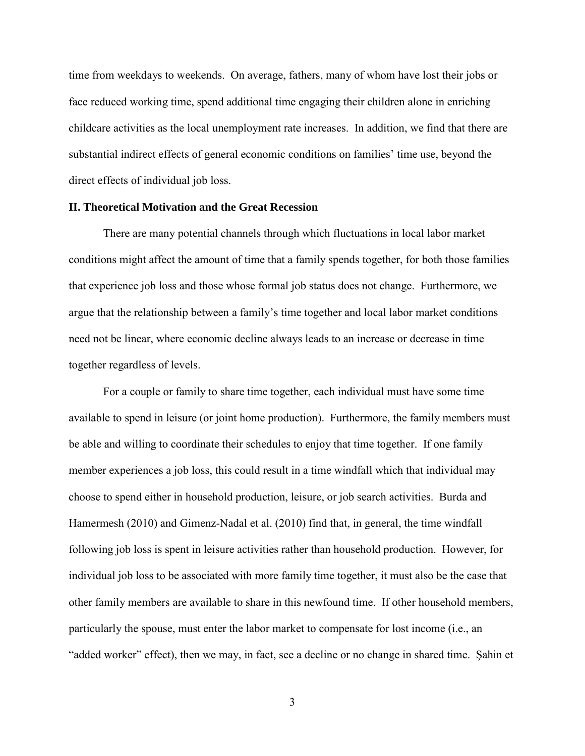time from weekdays to weekends. On average, fathers, many of whom have lost their jobs or face reduced working time, spend additional time engaging their children alone in enriching childcare activities as the local unemployment rate increases. In addition, we find that there are substantial indirect effects of general economic conditions on families' time use, beyond the direct effects of individual job loss.

#### **II. Theoretical Motivation and the Great Recession**

There are many potential channels through which fluctuations in local labor market conditions might affect the amount of time that a family spends together, for both those families that experience job loss and those whose formal job status does not change. Furthermore, we argue that the relationship between a family's time together and local labor market conditions need not be linear, where economic decline always leads to an increase or decrease in time together regardless of levels.

For a couple or family to share time together, each individual must have some time available to spend in leisure (or joint home production). Furthermore, the family members must be able and willing to coordinate their schedules to enjoy that time together. If one family member experiences a job loss, this could result in a time windfall which that individual may choose to spend either in household production, leisure, or job search activities. Burda and Hamermesh (2010) and Gimenz-Nadal et al. (2010) find that, in general, the time windfall following job loss is spent in leisure activities rather than household production. However, for individual job loss to be associated with more family time together, it must also be the case that other family members are available to share in this newfound time. If other household members, particularly the spouse, must enter the labor market to compensate for lost income (i.e., an "added worker" effect), then we may, in fact, see a decline or no change in shared time. Şahin et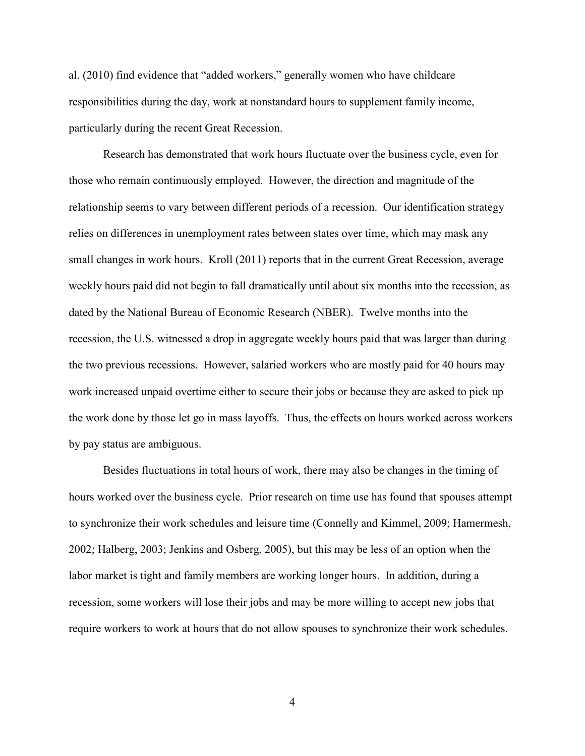al. (2010) find evidence that "added workers," generally women who have childcare responsibilities during the day, work at nonstandard hours to supplement family income, particularly during the recent Great Recession.

Research has demonstrated that work hours fluctuate over the business cycle, even for those who remain continuously employed. However, the direction and magnitude of the relationship seems to vary between different periods of a recession. Our identification strategy relies on differences in unemployment rates between states over time, which may mask any small changes in work hours. Kroll (2011) reports that in the current Great Recession, average weekly hours paid did not begin to fall dramatically until about six months into the recession, as dated by the National Bureau of Economic Research (NBER). Twelve months into the recession, the U.S. witnessed a drop in aggregate weekly hours paid that was larger than during the two previous recessions. However, salaried workers who are mostly paid for 40 hours may work increased unpaid overtime either to secure their jobs or because they are asked to pick up the work done by those let go in mass layoffs. Thus, the effects on hours worked across workers by pay status are ambiguous.

Besides fluctuations in total hours of work, there may also be changes in the timing of hours worked over the business cycle. Prior research on time use has found that spouses attempt to synchronize their work schedules and leisure time (Connelly and Kimmel, 2009; Hamermesh, 2002; Halberg, 2003; Jenkins and Osberg, 2005), but this may be less of an option when the labor market is tight and family members are working longer hours. In addition, during a recession, some workers will lose their jobs and may be more willing to accept new jobs that require workers to work at hours that do not allow spouses to synchronize their work schedules.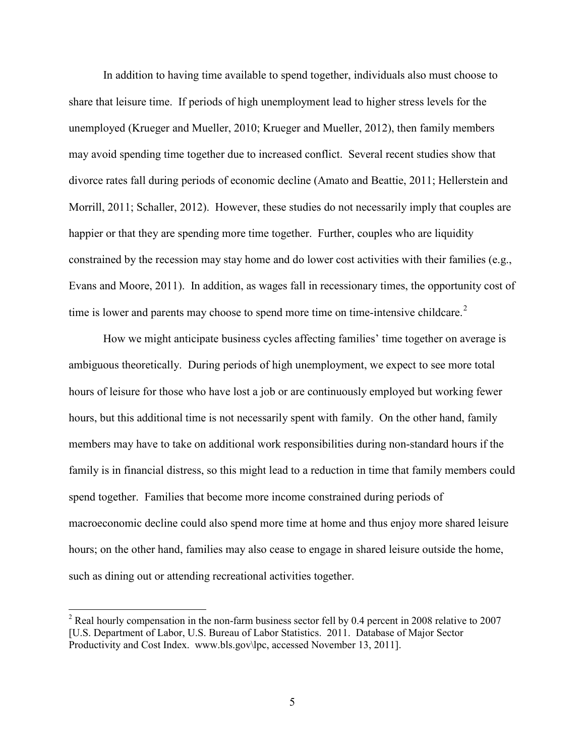In addition to having time available to spend together, individuals also must choose to share that leisure time. If periods of high unemployment lead to higher stress levels for the unemployed (Krueger and Mueller, 2010; Krueger and Mueller, 2012), then family members may avoid spending time together due to increased conflict. Several recent studies show that divorce rates fall during periods of economic decline (Amato and Beattie, 2011; Hellerstein and Morrill, 2011; Schaller, 2012). However, these studies do not necessarily imply that couples are happier or that they are spending more time together. Further, couples who are liquidity constrained by the recession may stay home and do lower cost activities with their families (e.g., Evans and Moore, 2011). In addition, as wages fall in recessionary times, the opportunity cost of time is lower and parents may choose to spend more time on time-intensive childcare.<sup>[2](#page-6-0)</sup>

How we might anticipate business cycles affecting families' time together on average is ambiguous theoretically. During periods of high unemployment, we expect to see more total hours of leisure for those who have lost a job or are continuously employed but working fewer hours, but this additional time is not necessarily spent with family. On the other hand, family members may have to take on additional work responsibilities during non-standard hours if the family is in financial distress, so this might lead to a reduction in time that family members could spend together. Families that become more income constrained during periods of macroeconomic decline could also spend more time at home and thus enjoy more shared leisure hours; on the other hand, families may also cease to engage in shared leisure outside the home, such as dining out or attending recreational activities together.

<span id="page-6-0"></span><sup>&</sup>lt;sup>2</sup> Real hourly compensation in the non-farm business sector fell by 0.4 percent in 2008 relative to 2007 [U.S. Department of Labor, U.S. Bureau of Labor Statistics. 2011. Database of Major Sector Productivity and Cost Index. www.bls.gov\lpc, accessed November 13, 2011].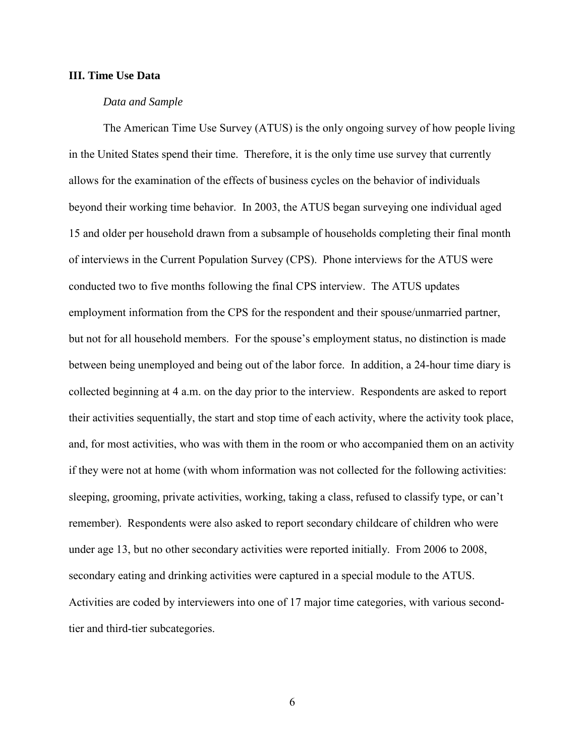#### **III. Time Use Data**

#### *Data and Sample*

The American Time Use Survey (ATUS) is the only ongoing survey of how people living in the United States spend their time. Therefore, it is the only time use survey that currently allows for the examination of the effects of business cycles on the behavior of individuals beyond their working time behavior. In 2003, the ATUS began surveying one individual aged 15 and older per household drawn from a subsample of households completing their final month of interviews in the Current Population Survey (CPS). Phone interviews for the ATUS were conducted two to five months following the final CPS interview. The ATUS updates employment information from the CPS for the respondent and their spouse/unmarried partner, but not for all household members. For the spouse's employment status, no distinction is made between being unemployed and being out of the labor force. In addition, a 24-hour time diary is collected beginning at 4 a.m. on the day prior to the interview. Respondents are asked to report their activities sequentially, the start and stop time of each activity, where the activity took place, and, for most activities, who was with them in the room or who accompanied them on an activity if they were not at home (with whom information was not collected for the following activities: sleeping, grooming, private activities, working, taking a class, refused to classify type, or can't remember). Respondents were also asked to report secondary childcare of children who were under age 13, but no other secondary activities were reported initially. From 2006 to 2008, secondary eating and drinking activities were captured in a special module to the ATUS. Activities are coded by interviewers into one of 17 major time categories, with various secondtier and third-tier subcategories.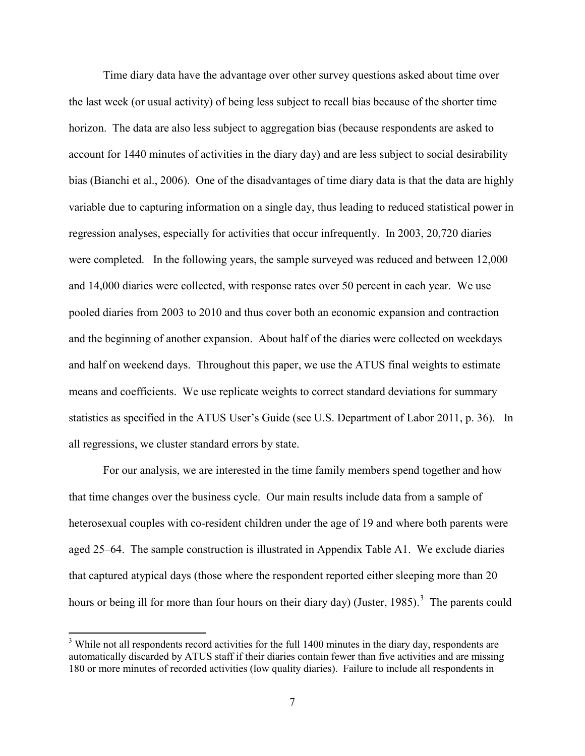Time diary data have the advantage over other survey questions asked about time over the last week (or usual activity) of being less subject to recall bias because of the shorter time horizon. The data are also less subject to aggregation bias (because respondents are asked to account for 1440 minutes of activities in the diary day) and are less subject to social desirability bias (Bianchi et al., 2006). One of the disadvantages of time diary data is that the data are highly variable due to capturing information on a single day, thus leading to reduced statistical power in regression analyses, especially for activities that occur infrequently. In 2003, 20,720 diaries were completed. In the following years, the sample surveyed was reduced and between 12,000 and 14,000 diaries were collected, with response rates over 50 percent in each year. We use pooled diaries from 2003 to 2010 and thus cover both an economic expansion and contraction and the beginning of another expansion. About half of the diaries were collected on weekdays and half on weekend days. Throughout this paper, we use the ATUS final weights to estimate means and coefficients. We use replicate weights to correct standard deviations for summary statistics as specified in the ATUS User's Guide (see U.S. Department of Labor 2011, p. 36). In all regressions, we cluster standard errors by state.

For our analysis, we are interested in the time family members spend together and how that time changes over the business cycle. Our main results include data from a sample of heterosexual couples with co-resident children under the age of 19 and where both parents were aged 25–64. The sample construction is illustrated in Appendix Table A1. We exclude diaries that captured atypical days (those where the respondent reported either sleeping more than 20 hours or being ill for more than four hours on their diary day) (Juster, 1985).<sup>[3](#page-8-0)</sup> The parents could

 $\overline{\phantom{0}}$ 

<span id="page-8-0"></span> $3$  While not all respondents record activities for the full 1400 minutes in the diary day, respondents are automatically discarded by ATUS staff if their diaries contain fewer than five activities and are missing 180 or more minutes of recorded activities (low quality diaries). Failure to include all respondents in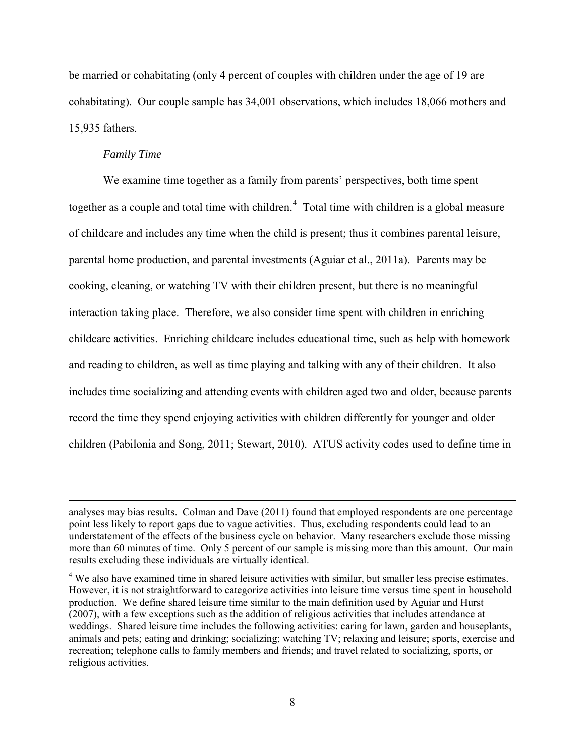be married or cohabitating (only 4 percent of couples with children under the age of 19 are cohabitating). Our couple sample has 34,001 observations, which includes 18,066 mothers and 15,935 fathers.

#### *Family Time*

ı

We examine time together as a family from parents' perspectives, both time spent together as a couple and total time with children.<sup>[4](#page-9-0)</sup> Total time with children is a global measure of childcare and includes any time when the child is present; thus it combines parental leisure, parental home production, and parental investments (Aguiar et al., 2011a). Parents may be cooking, cleaning, or watching TV with their children present, but there is no meaningful interaction taking place. Therefore, we also consider time spent with children in enriching childcare activities. Enriching childcare includes educational time, such as help with homework and reading to children, as well as time playing and talking with any of their children. It also includes time socializing and attending events with children aged two and older, because parents record the time they spend enjoying activities with children differently for younger and older children (Pabilonia and Song, 2011; Stewart, 2010). ATUS activity codes used to define time in

analyses may bias results. Colman and Dave (2011) found that employed respondents are one percentage point less likely to report gaps due to vague activities. Thus, excluding respondents could lead to an understatement of the effects of the business cycle on behavior. Many researchers exclude those missing more than 60 minutes of time. Only 5 percent of our sample is missing more than this amount. Our main results excluding these individuals are virtually identical.

<span id="page-9-0"></span><sup>&</sup>lt;sup>4</sup> We also have examined time in shared leisure activities with similar, but smaller less precise estimates. However, it is not straightforward to categorize activities into leisure time versus time spent in household production. We define shared leisure time similar to the main definition used by Aguiar and Hurst (2007), with a few exceptions such as the addition of religious activities that includes attendance at weddings. Shared leisure time includes the following activities: caring for lawn, garden and houseplants, animals and pets; eating and drinking; socializing; watching TV; relaxing and leisure; sports, exercise and recreation; telephone calls to family members and friends; and travel related to socializing, sports, or religious activities.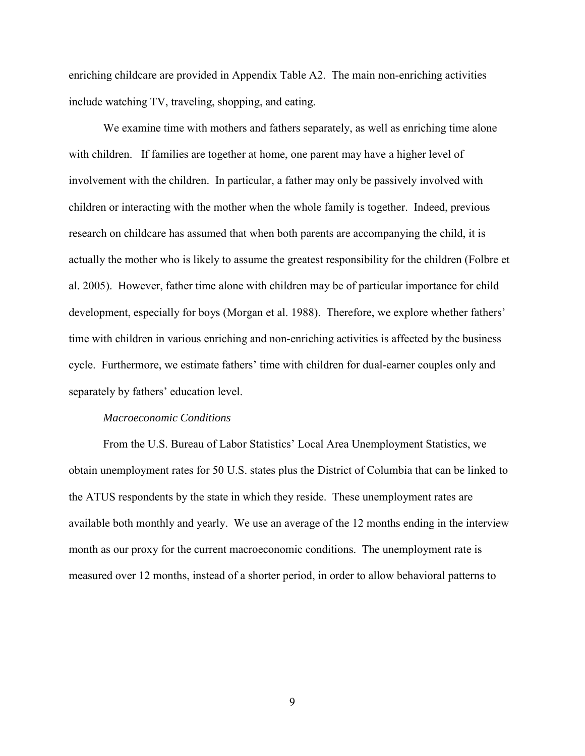enriching childcare are provided in Appendix Table A2. The main non-enriching activities include watching TV, traveling, shopping, and eating.

We examine time with mothers and fathers separately, as well as enriching time alone with children. If families are together at home, one parent may have a higher level of involvement with the children. In particular, a father may only be passively involved with children or interacting with the mother when the whole family is together. Indeed, previous research on childcare has assumed that when both parents are accompanying the child, it is actually the mother who is likely to assume the greatest responsibility for the children (Folbre et al. 2005). However, father time alone with children may be of particular importance for child development, especially for boys (Morgan et al. 1988). Therefore, we explore whether fathers' time with children in various enriching and non-enriching activities is affected by the business cycle. Furthermore, we estimate fathers' time with children for dual-earner couples only and separately by fathers' education level.

#### *Macroeconomic Conditions*

From the U.S. Bureau of Labor Statistics' Local Area Unemployment Statistics, we obtain unemployment rates for 50 U.S. states plus the District of Columbia that can be linked to the ATUS respondents by the state in which they reside. These unemployment rates are available both monthly and yearly. We use an average of the 12 months ending in the interview month as our proxy for the current macroeconomic conditions. The unemployment rate is measured over 12 months, instead of a shorter period, in order to allow behavioral patterns to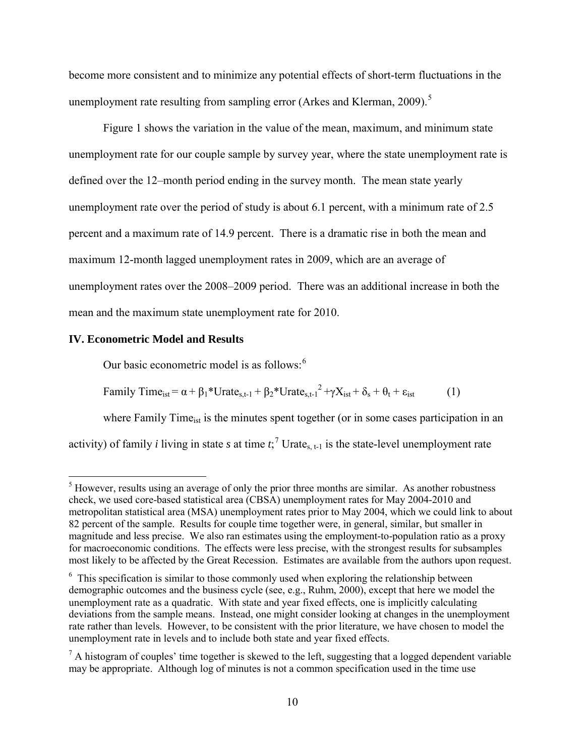become more consistent and to minimize any potential effects of short-term fluctuations in the unemployment rate resulting from sampling error (Arkes and Klerman, 2009).<sup>[5](#page-11-0)</sup>

Figure 1 shows the variation in the value of the mean, maximum, and minimum state unemployment rate for our couple sample by survey year, where the state unemployment rate is defined over the 12–month period ending in the survey month. The mean state yearly unemployment rate over the period of study is about 6.1 percent, with a minimum rate of 2.5 percent and a maximum rate of 14.9 percent. There is a dramatic rise in both the mean and maximum 12-month lagged unemployment rates in 2009, which are an average of unemployment rates over the 2008–2009 period. There was an additional increase in both the mean and the maximum state unemployment rate for 2010.

#### **IV. Econometric Model and Results**

l

Our basic econometric model is as follows:<sup>[6](#page-11-1)</sup>

Family Time<sub>ist</sub> = 
$$
\alpha + \beta_1 * \text{Urate}_{s,t-1} + \beta_2 * \text{Urate}_{s,t-1}^2 + \gamma X_{ist} + \delta_s + \theta_t + \epsilon_{ist}
$$
 (1)

where Family Time<sub>ist</sub> is the minutes spent together (or in some cases participation in an activity) of family *i* living in state *s* at time  $t$ ;  $\frac{1}{2}$  Urate<sub>s, t-1</sub> is the state-level unemployment rate

<span id="page-11-0"></span> $<sup>5</sup>$  However, results using an average of only the prior three months are similar. As another robustness</sup> check, we used core-based statistical area (CBSA) unemployment rates for May 2004-2010 and metropolitan statistical area (MSA) unemployment rates prior to May 2004, which we could link to about 82 percent of the sample. Results for couple time together were, in general, similar, but smaller in magnitude and less precise. We also ran estimates using the employment-to-population ratio as a proxy for macroeconomic conditions. The effects were less precise, with the strongest results for subsamples most likely to be affected by the Great Recession. Estimates are available from the authors upon request.

<span id="page-11-1"></span> $6$  This specification is similar to those commonly used when exploring the relationship between demographic outcomes and the business cycle (see, e.g., Ruhm, 2000), except that here we model the unemployment rate as a quadratic. With state and year fixed effects, one is implicitly calculating deviations from the sample means. Instead, one might consider looking at changes in the unemployment rate rather than levels. However, to be consistent with the prior literature, we have chosen to model the unemployment rate in levels and to include both state and year fixed effects.

<span id="page-11-2"></span> $<sup>7</sup>$  A histogram of couples' time together is skewed to the left, suggesting that a logged dependent variable</sup> may be appropriate. Although log of minutes is not a common specification used in the time use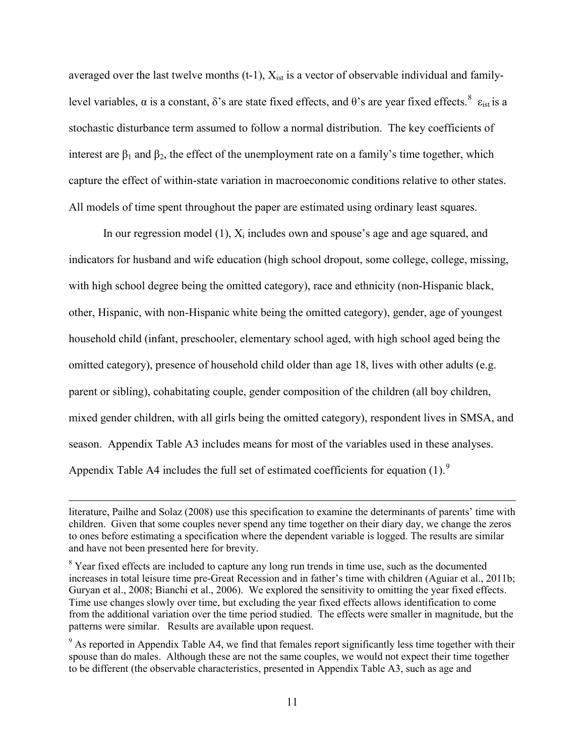averaged over the last twelve months  $(t-1)$ ,  $X_{ist}$  is a vector of observable individual and familylevel variables,  $\alpha$  is a constant, δ's are state fixed effects, and θ's are year fixed effects. <sup>[8](#page-12-0)</sup>  $\varepsilon_{ist}$  is a stochastic disturbance term assumed to follow a normal distribution. The key coefficients of interest are  $\beta_1$  and  $\beta_2$ , the effect of the unemployment rate on a family's time together, which capture the effect of within-state variation in macroeconomic conditions relative to other states. All models of time spent throughout the paper are estimated using ordinary least squares.

In our regression model (1),  $X_i$  includes own and spouse's age and age squared, and indicators for husband and wife education (high school dropout, some college, college, missing, with high school degree being the omitted category), race and ethnicity (non-Hispanic black, other, Hispanic, with non-Hispanic white being the omitted category), gender, age of youngest household child (infant, preschooler, elementary school aged, with high school aged being the omitted category), presence of household child older than age 18, lives with other adults (e.g. parent or sibling), cohabitating couple, gender composition of the children (all boy children, mixed gender children, with all girls being the omitted category), respondent lives in SMSA, and season. Appendix Table A3 includes means for most of the variables used in these analyses. Appendix Table A4 includes the full set of estimated coefficients for equation (1).<sup>[9](#page-12-1)</sup>

literature, Pailhe and Solaz (2008) use this specification to examine the determinants of parents' time with children. Given that some couples never spend any time together on their diary day, we change the zeros to ones before estimating a specification where the dependent variable is logged. The results are similar and have not been presented here for brevity.

<span id="page-12-0"></span><sup>&</sup>lt;sup>8</sup> Year fixed effects are included to capture any long run trends in time use, such as the documented increases in total leisure time pre-Great Recession and in father's time with children (Aguiar et al., 2011b; Guryan et al., 2008; Bianchi et al., 2006). We explored the sensitivity to omitting the year fixed effects. Time use changes slowly over time, but excluding the year fixed effects allows identification to come from the additional variation over the time period studied. The effects were smaller in magnitude, but the patterns were similar. Results are available upon request.

<span id="page-12-1"></span><sup>&</sup>lt;sup>9</sup> As reported in Appendix Table A4, we find that females report significantly less time together with their spouse than do males. Although these are not the same couples, we would not expect their time together to be different (the observable characteristics, presented in Appendix Table A3, such as age and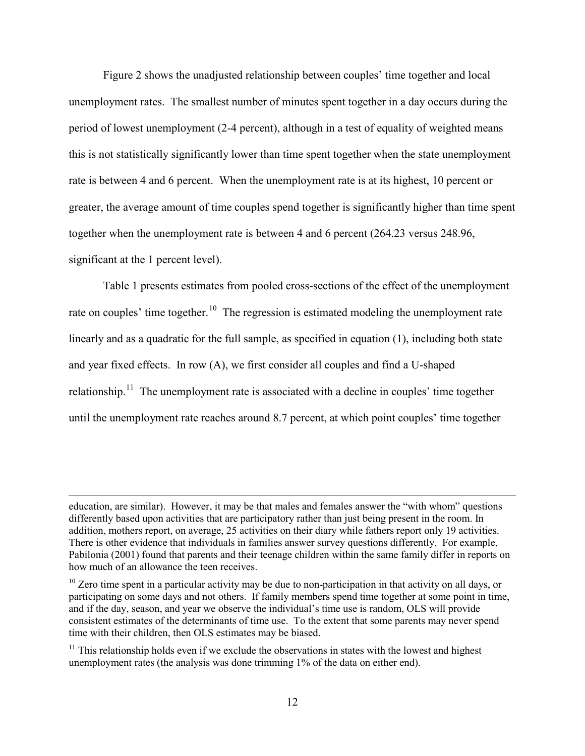Figure 2 shows the unadjusted relationship between couples' time together and local unemployment rates. The smallest number of minutes spent together in a day occurs during the period of lowest unemployment (2-4 percent), although in a test of equality of weighted means this is not statistically significantly lower than time spent together when the state unemployment rate is between 4 and 6 percent. When the unemployment rate is at its highest, 10 percent or greater, the average amount of time couples spend together is significantly higher than time spent together when the unemployment rate is between 4 and 6 percent (264.23 versus 248.96, significant at the 1 percent level).

Table 1 presents estimates from pooled cross-sections of the effect of the unemployment rate on couples' time together.<sup>10</sup> The regression is estimated modeling the unemployment rate linearly and as a quadratic for the full sample, as specified in equation (1), including both state and year fixed effects. In row (A), we first consider all couples and find a U-shaped relationship.<sup>[11](#page-13-1)</sup> The unemployment rate is associated with a decline in couples' time together until the unemployment rate reaches around 8.7 percent, at which point couples' time together

education, are similar). However, it may be that males and females answer the "with whom" questions differently based upon activities that are participatory rather than just being present in the room. In addition, mothers report, on average, 25 activities on their diary while fathers report only 19 activities. There is other evidence that individuals in families answer survey questions differently. For example, Pabilonia (2001) found that parents and their teenage children within the same family differ in reports on how much of an allowance the teen receives.

<span id="page-13-0"></span> $10$  Zero time spent in a particular activity may be due to non-participation in that activity on all days, or participating on some days and not others. If family members spend time together at some point in time, and if the day, season, and year we observe the individual's time use is random, OLS will provide consistent estimates of the determinants of time use. To the extent that some parents may never spend time with their children, then OLS estimates may be biased.

<span id="page-13-1"></span> $11$  This relationship holds even if we exclude the observations in states with the lowest and highest unemployment rates (the analysis was done trimming 1% of the data on either end).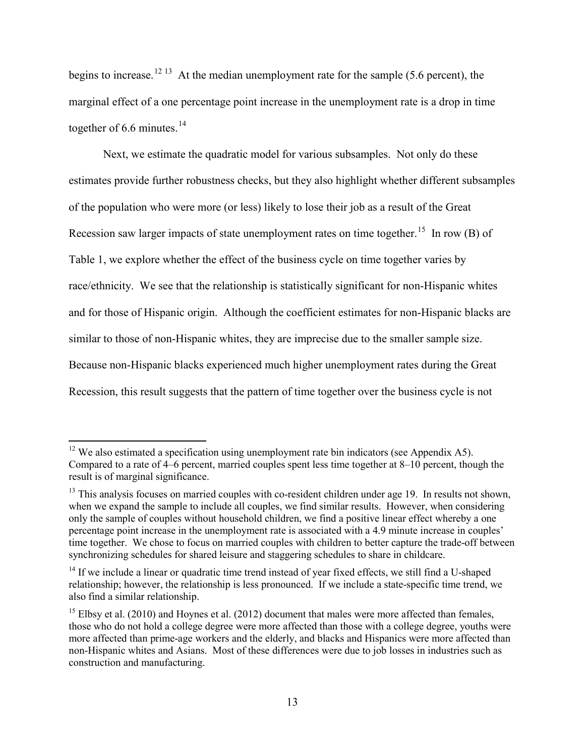begins to increase.<sup>[12](#page-14-0) [13](#page-14-1)</sup> At the median unemployment rate for the sample (5.6 percent), the marginal effect of a one percentage point increase in the unemployment rate is a drop in time together of 6.6 minutes. $14$ 

Next, we estimate the quadratic model for various subsamples. Not only do these estimates provide further robustness checks, but they also highlight whether different subsamples of the population who were more (or less) likely to lose their job as a result of the Great Recession saw larger impacts of state unemployment rates on time together.<sup>15</sup> In row (B) of Table 1, we explore whether the effect of the business cycle on time together varies by race/ethnicity. We see that the relationship is statistically significant for non-Hispanic whites and for those of Hispanic origin. Although the coefficient estimates for non-Hispanic blacks are similar to those of non-Hispanic whites, they are imprecise due to the smaller sample size. Because non-Hispanic blacks experienced much higher unemployment rates during the Great Recession, this result suggests that the pattern of time together over the business cycle is not

<span id="page-14-0"></span> $12$  We also estimated a specification using unemployment rate bin indicators (see Appendix A5). Compared to a rate of 4–6 percent, married couples spent less time together at 8–10 percent, though the result is of marginal significance.

<span id="page-14-1"></span><sup>&</sup>lt;sup>13</sup> This analysis focuses on married couples with co-resident children under age 19. In results not shown, when we expand the sample to include all couples, we find similar results. However, when considering only the sample of couples without household children, we find a positive linear effect whereby a one percentage point increase in the unemployment rate is associated with a 4.9 minute increase in couples' time together. We chose to focus on married couples with children to better capture the trade-off between synchronizing schedules for shared leisure and staggering schedules to share in childcare.

<span id="page-14-2"></span><sup>&</sup>lt;sup>14</sup> If we include a linear or quadratic time trend instead of year fixed effects, we still find a U-shaped relationship; however, the relationship is less pronounced. If we include a state-specific time trend, we also find a similar relationship.

<span id="page-14-3"></span> $^{15}$  Elbsy et al. (2010) and Hoynes et al. (2012) document that males were more affected than females, those who do not hold a college degree were more affected than those with a college degree, youths were more affected than prime-age workers and the elderly, and blacks and Hispanics were more affected than non-Hispanic whites and Asians. Most of these differences were due to job losses in industries such as construction and manufacturing.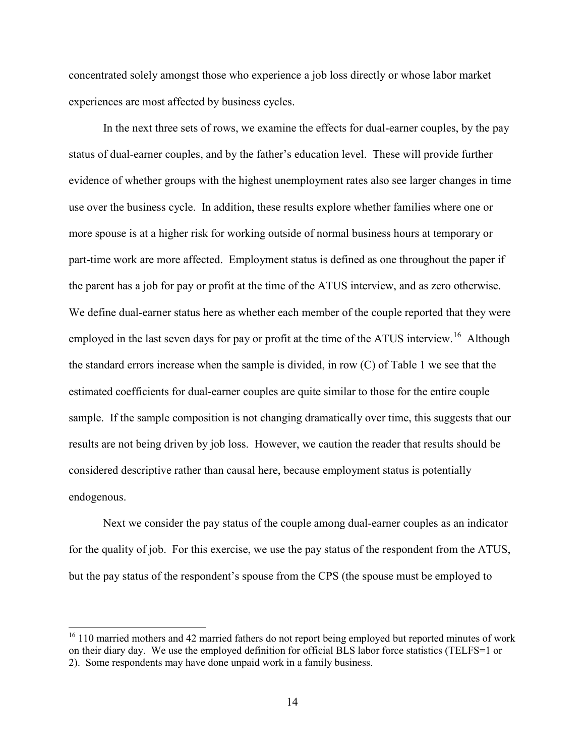concentrated solely amongst those who experience a job loss directly or whose labor market experiences are most affected by business cycles.

In the next three sets of rows, we examine the effects for dual-earner couples, by the pay status of dual-earner couples, and by the father's education level. These will provide further evidence of whether groups with the highest unemployment rates also see larger changes in time use over the business cycle. In addition, these results explore whether families where one or more spouse is at a higher risk for working outside of normal business hours at temporary or part-time work are more affected. Employment status is defined as one throughout the paper if the parent has a job for pay or profit at the time of the ATUS interview, and as zero otherwise. We define dual-earner status here as whether each member of the couple reported that they were employed in the last seven days for pay or profit at the time of the ATUS interview.<sup>16</sup> Although the standard errors increase when the sample is divided, in row (C) of Table 1 we see that the estimated coefficients for dual-earner couples are quite similar to those for the entire couple sample. If the sample composition is not changing dramatically over time, this suggests that our results are not being driven by job loss. However, we caution the reader that results should be considered descriptive rather than causal here, because employment status is potentially endogenous.

Next we consider the pay status of the couple among dual-earner couples as an indicator for the quality of job. For this exercise, we use the pay status of the respondent from the ATUS, but the pay status of the respondent's spouse from the CPS (the spouse must be employed to

 $\overline{\phantom{0}}$ 

<span id="page-15-0"></span> $16$  110 married mothers and 42 married fathers do not report being employed but reported minutes of work on their diary day. We use the employed definition for official BLS labor force statistics (TELFS=1 or 2). Some respondents may have done unpaid work in a family business.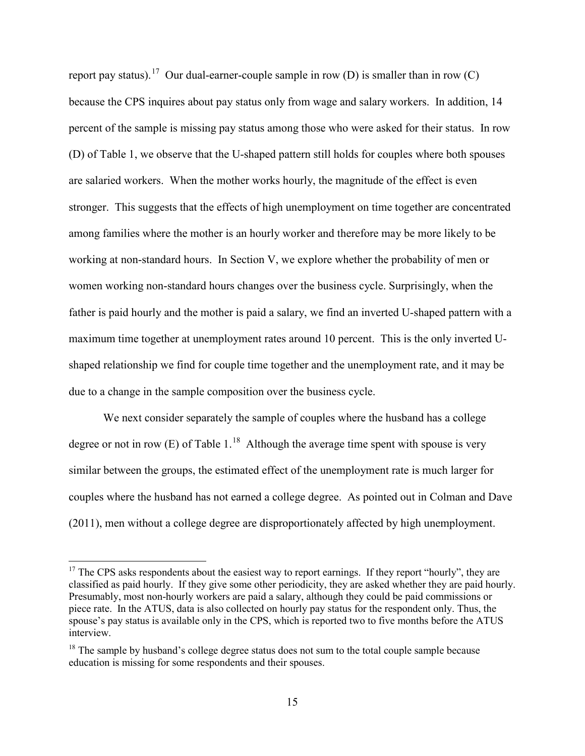report pay status).<sup>[17](#page-16-0)</sup> Our dual-earner-couple sample in row (D) is smaller than in row (C) because the CPS inquires about pay status only from wage and salary workers. In addition, 14 percent of the sample is missing pay status among those who were asked for their status. In row (D) of Table 1, we observe that the U-shaped pattern still holds for couples where both spouses are salaried workers. When the mother works hourly, the magnitude of the effect is even stronger. This suggests that the effects of high unemployment on time together are concentrated among families where the mother is an hourly worker and therefore may be more likely to be working at non-standard hours. In Section V, we explore whether the probability of men or women working non-standard hours changes over the business cycle. Surprisingly, when the father is paid hourly and the mother is paid a salary, we find an inverted U-shaped pattern with a maximum time together at unemployment rates around 10 percent. This is the only inverted Ushaped relationship we find for couple time together and the unemployment rate, and it may be due to a change in the sample composition over the business cycle.

We next consider separately the sample of couples where the husband has a college degree or not in row  $(E)$  of Table 1.<sup>18</sup> Although the average time spent with spouse is very similar between the groups, the estimated effect of the unemployment rate is much larger for couples where the husband has not earned a college degree. As pointed out in Colman and Dave (2011), men without a college degree are disproportionately affected by high unemployment.

<span id="page-16-0"></span> $17$  The CPS asks respondents about the easiest way to report earnings. If they report "hourly", they are classified as paid hourly. If they give some other periodicity, they are asked whether they are paid hourly. Presumably, most non-hourly workers are paid a salary, although they could be paid commissions or piece rate. In the ATUS, data is also collected on hourly pay status for the respondent only. Thus, the spouse's pay status is available only in the CPS, which is reported two to five months before the ATUS interview.

<span id="page-16-1"></span> $18$  The sample by husband's college degree status does not sum to the total couple sample because education is missing for some respondents and their spouses.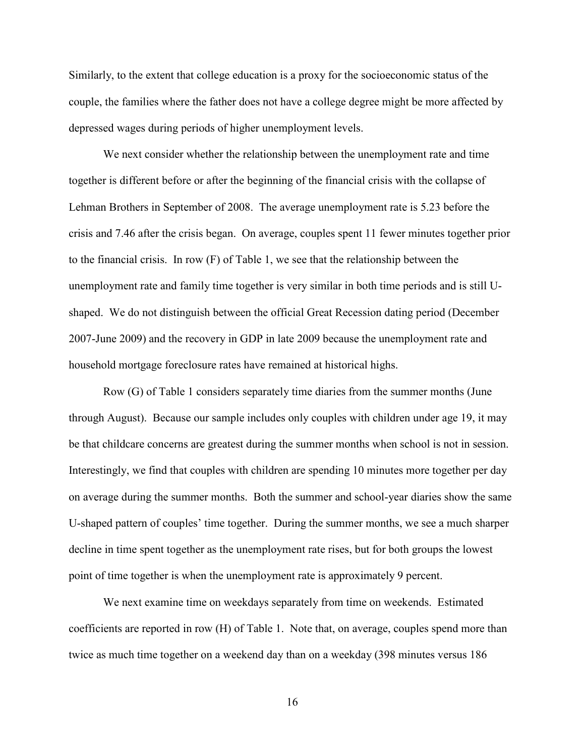Similarly, to the extent that college education is a proxy for the socioeconomic status of the couple, the families where the father does not have a college degree might be more affected by depressed wages during periods of higher unemployment levels.

We next consider whether the relationship between the unemployment rate and time together is different before or after the beginning of the financial crisis with the collapse of Lehman Brothers in September of 2008. The average unemployment rate is 5.23 before the crisis and 7.46 after the crisis began. On average, couples spent 11 fewer minutes together prior to the financial crisis. In row (F) of Table 1, we see that the relationship between the unemployment rate and family time together is very similar in both time periods and is still Ushaped. We do not distinguish between the official Great Recession dating period (December 2007-June 2009) and the recovery in GDP in late 2009 because the unemployment rate and household mortgage foreclosure rates have remained at historical highs.

Row (G) of Table 1 considers separately time diaries from the summer months (June through August). Because our sample includes only couples with children under age 19, it may be that childcare concerns are greatest during the summer months when school is not in session. Interestingly, we find that couples with children are spending 10 minutes more together per day on average during the summer months. Both the summer and school-year diaries show the same U-shaped pattern of couples' time together. During the summer months, we see a much sharper decline in time spent together as the unemployment rate rises, but for both groups the lowest point of time together is when the unemployment rate is approximately 9 percent.

We next examine time on weekdays separately from time on weekends. Estimated coefficients are reported in row (H) of Table 1. Note that, on average, couples spend more than twice as much time together on a weekend day than on a weekday (398 minutes versus 186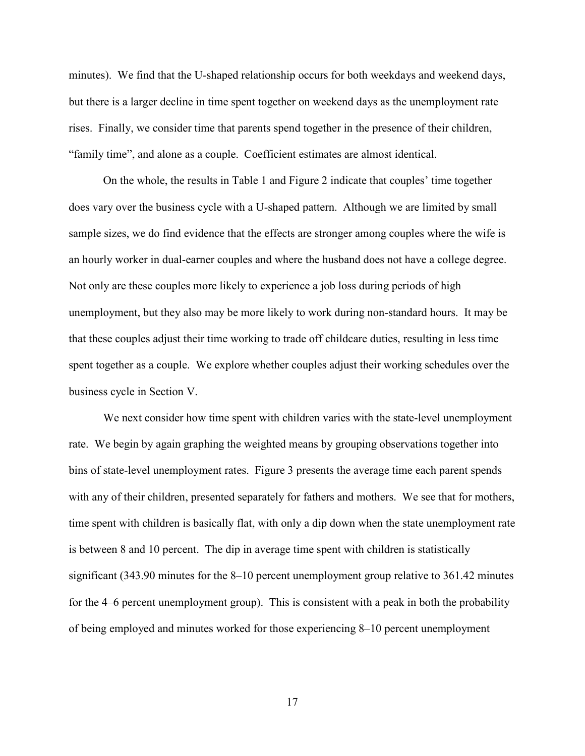minutes). We find that the U-shaped relationship occurs for both weekdays and weekend days, but there is a larger decline in time spent together on weekend days as the unemployment rate rises. Finally, we consider time that parents spend together in the presence of their children, "family time", and alone as a couple. Coefficient estimates are almost identical.

On the whole, the results in Table 1 and Figure 2 indicate that couples' time together does vary over the business cycle with a U-shaped pattern. Although we are limited by small sample sizes, we do find evidence that the effects are stronger among couples where the wife is an hourly worker in dual-earner couples and where the husband does not have a college degree. Not only are these couples more likely to experience a job loss during periods of high unemployment, but they also may be more likely to work during non-standard hours. It may be that these couples adjust their time working to trade off childcare duties, resulting in less time spent together as a couple. We explore whether couples adjust their working schedules over the business cycle in Section V.

We next consider how time spent with children varies with the state-level unemployment rate. We begin by again graphing the weighted means by grouping observations together into bins of state-level unemployment rates. Figure 3 presents the average time each parent spends with any of their children, presented separately for fathers and mothers. We see that for mothers, time spent with children is basically flat, with only a dip down when the state unemployment rate is between 8 and 10 percent. The dip in average time spent with children is statistically significant (343.90 minutes for the 8–10 percent unemployment group relative to 361.42 minutes for the 4–6 percent unemployment group). This is consistent with a peak in both the probability of being employed and minutes worked for those experiencing 8–10 percent unemployment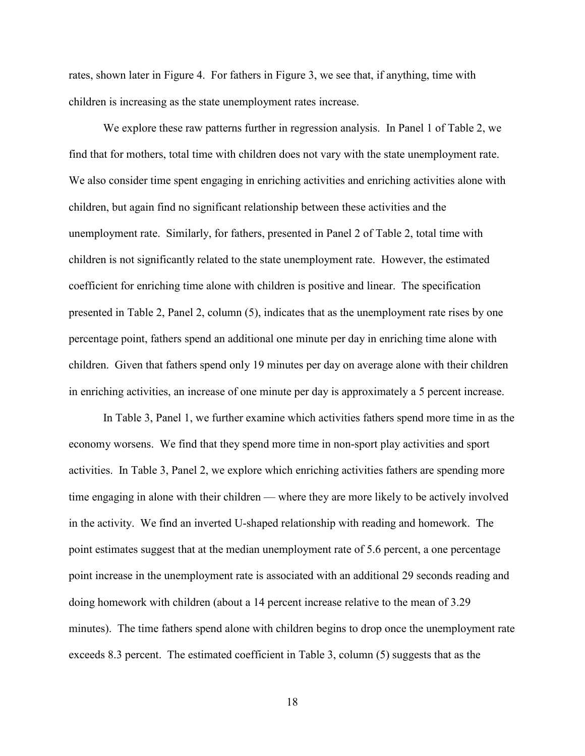rates, shown later in Figure 4. For fathers in Figure 3, we see that, if anything, time with children is increasing as the state unemployment rates increase.

We explore these raw patterns further in regression analysis. In Panel 1 of Table 2, we find that for mothers, total time with children does not vary with the state unemployment rate. We also consider time spent engaging in enriching activities and enriching activities alone with children, but again find no significant relationship between these activities and the unemployment rate. Similarly, for fathers, presented in Panel 2 of Table 2, total time with children is not significantly related to the state unemployment rate. However, the estimated coefficient for enriching time alone with children is positive and linear. The specification presented in Table 2, Panel 2, column (5), indicates that as the unemployment rate rises by one percentage point, fathers spend an additional one minute per day in enriching time alone with children. Given that fathers spend only 19 minutes per day on average alone with their children in enriching activities, an increase of one minute per day is approximately a 5 percent increase.

In Table 3, Panel 1, we further examine which activities fathers spend more time in as the economy worsens. We find that they spend more time in non-sport play activities and sport activities. In Table 3, Panel 2, we explore which enriching activities fathers are spending more time engaging in alone with their children — where they are more likely to be actively involved in the activity. We find an inverted U-shaped relationship with reading and homework. The point estimates suggest that at the median unemployment rate of 5.6 percent, a one percentage point increase in the unemployment rate is associated with an additional 29 seconds reading and doing homework with children (about a 14 percent increase relative to the mean of 3.29 minutes). The time fathers spend alone with children begins to drop once the unemployment rate exceeds 8.3 percent. The estimated coefficient in Table 3, column (5) suggests that as the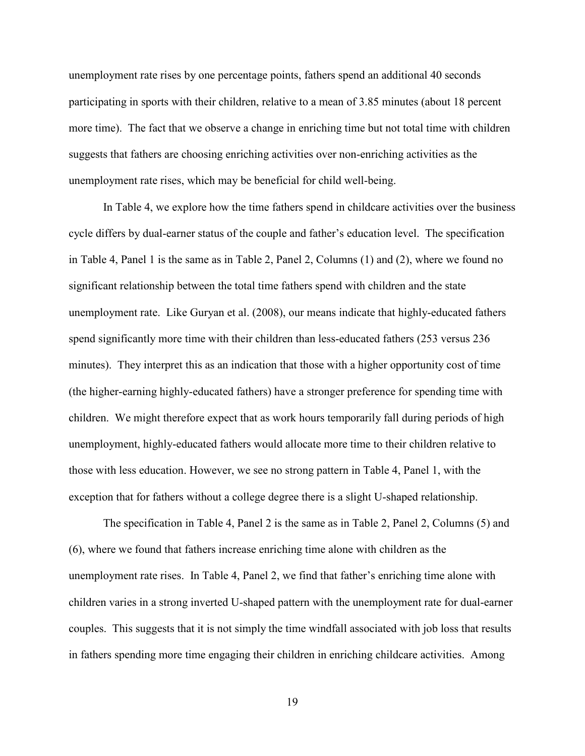unemployment rate rises by one percentage points, fathers spend an additional 40 seconds participating in sports with their children, relative to a mean of 3.85 minutes (about 18 percent more time). The fact that we observe a change in enriching time but not total time with children suggests that fathers are choosing enriching activities over non-enriching activities as the unemployment rate rises, which may be beneficial for child well-being.

In Table 4, we explore how the time fathers spend in childcare activities over the business cycle differs by dual-earner status of the couple and father's education level. The specification in Table 4, Panel 1 is the same as in Table 2, Panel 2, Columns (1) and (2), where we found no significant relationship between the total time fathers spend with children and the state unemployment rate. Like Guryan et al. (2008), our means indicate that highly-educated fathers spend significantly more time with their children than less-educated fathers (253 versus 236 minutes). They interpret this as an indication that those with a higher opportunity cost of time (the higher-earning highly-educated fathers) have a stronger preference for spending time with children. We might therefore expect that as work hours temporarily fall during periods of high unemployment, highly-educated fathers would allocate more time to their children relative to those with less education. However, we see no strong pattern in Table 4, Panel 1, with the exception that for fathers without a college degree there is a slight U-shaped relationship.

The specification in Table 4, Panel 2 is the same as in Table 2, Panel 2, Columns (5) and (6), where we found that fathers increase enriching time alone with children as the unemployment rate rises. In Table 4, Panel 2, we find that father's enriching time alone with children varies in a strong inverted U-shaped pattern with the unemployment rate for dual-earner couples. This suggests that it is not simply the time windfall associated with job loss that results in fathers spending more time engaging their children in enriching childcare activities. Among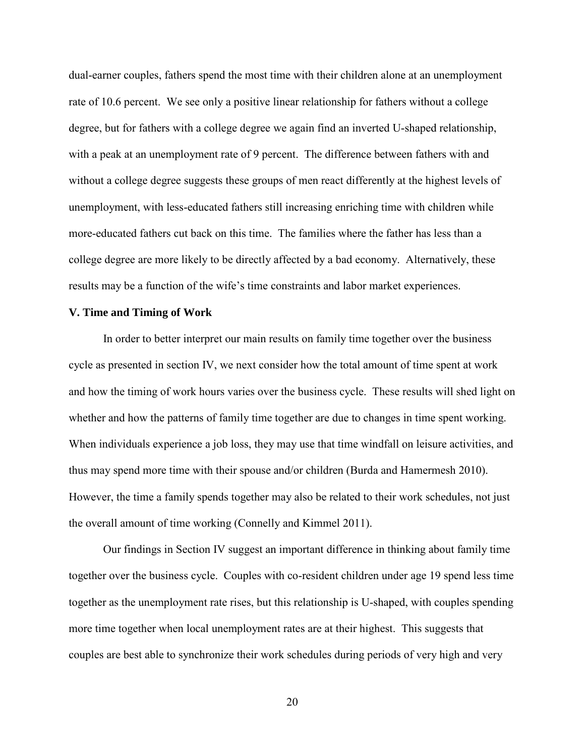dual-earner couples, fathers spend the most time with their children alone at an unemployment rate of 10.6 percent. We see only a positive linear relationship for fathers without a college degree, but for fathers with a college degree we again find an inverted U-shaped relationship, with a peak at an unemployment rate of 9 percent. The difference between fathers with and without a college degree suggests these groups of men react differently at the highest levels of unemployment, with less-educated fathers still increasing enriching time with children while more-educated fathers cut back on this time. The families where the father has less than a college degree are more likely to be directly affected by a bad economy. Alternatively, these results may be a function of the wife's time constraints and labor market experiences.

#### **V. Time and Timing of Work**

In order to better interpret our main results on family time together over the business cycle as presented in section IV, we next consider how the total amount of time spent at work and how the timing of work hours varies over the business cycle. These results will shed light on whether and how the patterns of family time together are due to changes in time spent working. When individuals experience a job loss, they may use that time windfall on leisure activities, and thus may spend more time with their spouse and/or children (Burda and Hamermesh 2010). However, the time a family spends together may also be related to their work schedules, not just the overall amount of time working (Connelly and Kimmel 2011).

Our findings in Section IV suggest an important difference in thinking about family time together over the business cycle. Couples with co-resident children under age 19 spend less time together as the unemployment rate rises, but this relationship is U-shaped, with couples spending more time together when local unemployment rates are at their highest. This suggests that couples are best able to synchronize their work schedules during periods of very high and very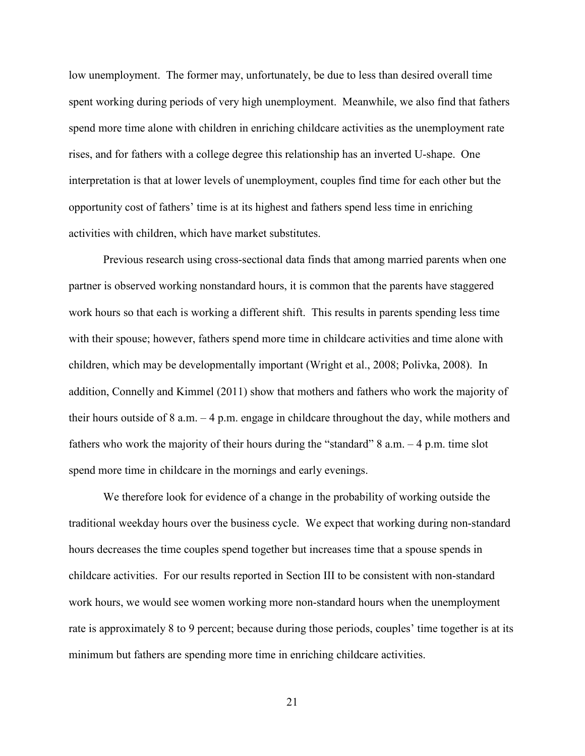low unemployment. The former may, unfortunately, be due to less than desired overall time spent working during periods of very high unemployment. Meanwhile, we also find that fathers spend more time alone with children in enriching childcare activities as the unemployment rate rises, and for fathers with a college degree this relationship has an inverted U-shape. One interpretation is that at lower levels of unemployment, couples find time for each other but the opportunity cost of fathers' time is at its highest and fathers spend less time in enriching activities with children, which have market substitutes.

Previous research using cross-sectional data finds that among married parents when one partner is observed working nonstandard hours, it is common that the parents have staggered work hours so that each is working a different shift. This results in parents spending less time with their spouse; however, fathers spend more time in childcare activities and time alone with children, which may be developmentally important (Wright et al., 2008; Polivka, 2008). In addition, Connelly and Kimmel (2011) show that mothers and fathers who work the majority of their hours outside of 8 a.m. – 4 p.m. engage in childcare throughout the day, while mothers and fathers who work the majority of their hours during the "standard"  $8$  a.m.  $-4$  p.m. time slot spend more time in childcare in the mornings and early evenings.

We therefore look for evidence of a change in the probability of working outside the traditional weekday hours over the business cycle. We expect that working during non-standard hours decreases the time couples spend together but increases time that a spouse spends in childcare activities. For our results reported in Section III to be consistent with non-standard work hours, we would see women working more non-standard hours when the unemployment rate is approximately 8 to 9 percent; because during those periods, couples' time together is at its minimum but fathers are spending more time in enriching childcare activities.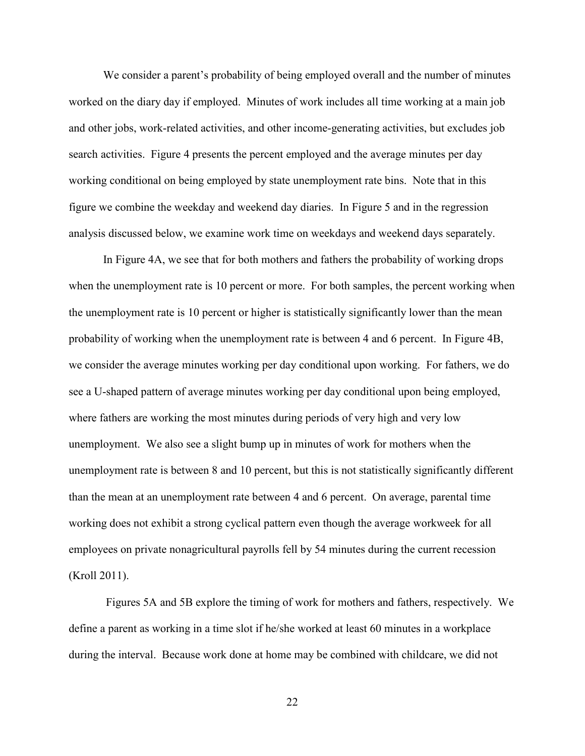We consider a parent's probability of being employed overall and the number of minutes worked on the diary day if employed. Minutes of work includes all time working at a main job and other jobs, work-related activities, and other income-generating activities, but excludes job search activities. Figure 4 presents the percent employed and the average minutes per day working conditional on being employed by state unemployment rate bins. Note that in this figure we combine the weekday and weekend day diaries. In Figure 5 and in the regression analysis discussed below, we examine work time on weekdays and weekend days separately.

In Figure 4A, we see that for both mothers and fathers the probability of working drops when the unemployment rate is 10 percent or more. For both samples, the percent working when the unemployment rate is 10 percent or higher is statistically significantly lower than the mean probability of working when the unemployment rate is between 4 and 6 percent. In Figure 4B, we consider the average minutes working per day conditional upon working. For fathers, we do see a U-shaped pattern of average minutes working per day conditional upon being employed, where fathers are working the most minutes during periods of very high and very low unemployment. We also see a slight bump up in minutes of work for mothers when the unemployment rate is between 8 and 10 percent, but this is not statistically significantly different than the mean at an unemployment rate between 4 and 6 percent. On average, parental time working does not exhibit a strong cyclical pattern even though the average workweek for all employees on private nonagricultural payrolls fell by 54 minutes during the current recession (Kroll 2011).

Figures 5A and 5B explore the timing of work for mothers and fathers, respectively. We define a parent as working in a time slot if he/she worked at least 60 minutes in a workplace during the interval. Because work done at home may be combined with childcare, we did not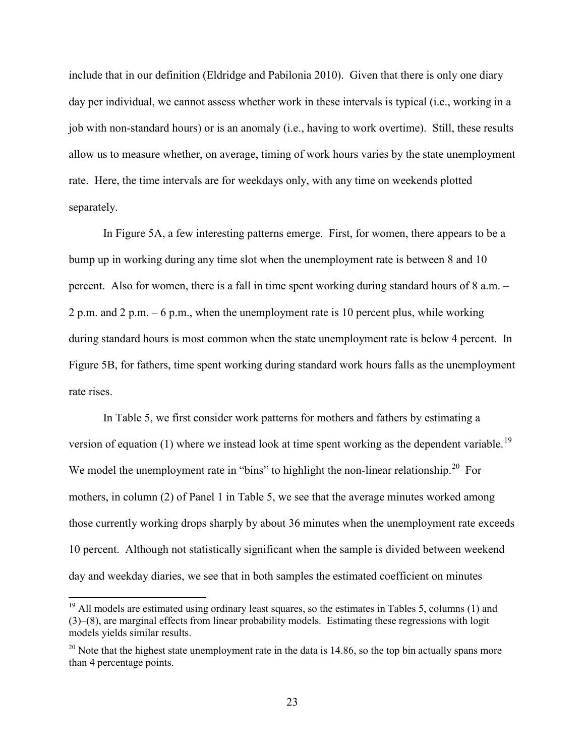include that in our definition (Eldridge and Pabilonia 2010). Given that there is only one diary day per individual, we cannot assess whether work in these intervals is typical (i.e., working in a job with non-standard hours) or is an anomaly (i.e., having to work overtime). Still, these results allow us to measure whether, on average, timing of work hours varies by the state unemployment rate. Here, the time intervals are for weekdays only, with any time on weekends plotted separately.

In Figure 5A, a few interesting patterns emerge. First, for women, there appears to be a bump up in working during any time slot when the unemployment rate is between 8 and 10 percent. Also for women, there is a fall in time spent working during standard hours of 8 a.m. – 2 p.m. and 2 p.m. – 6 p.m., when the unemployment rate is 10 percent plus, while working during standard hours is most common when the state unemployment rate is below 4 percent. In Figure 5B, for fathers, time spent working during standard work hours falls as the unemployment rate rises.

In Table 5, we first consider work patterns for mothers and fathers by estimating a version of equation (1) where we instead look at time spent working as the dependent variable.<sup>19</sup> We model the unemployment rate in "bins" to highlight the non-linear relationship.<sup>[20](#page-24-1)</sup> For mothers, in column (2) of Panel 1 in Table 5, we see that the average minutes worked among those currently working drops sharply by about 36 minutes when the unemployment rate exceeds 10 percent. Although not statistically significant when the sample is divided between weekend day and weekday diaries, we see that in both samples the estimated coefficient on minutes

<span id="page-24-0"></span> $19$  All models are estimated using ordinary least squares, so the estimates in Tables 5, columns (1) and (3)–(8), are marginal effects from linear probability models. Estimating these regressions with logit models yields similar results.

<span id="page-24-1"></span> $20$  Note that the highest state unemployment rate in the data is 14.86, so the top bin actually spans more than 4 percentage points.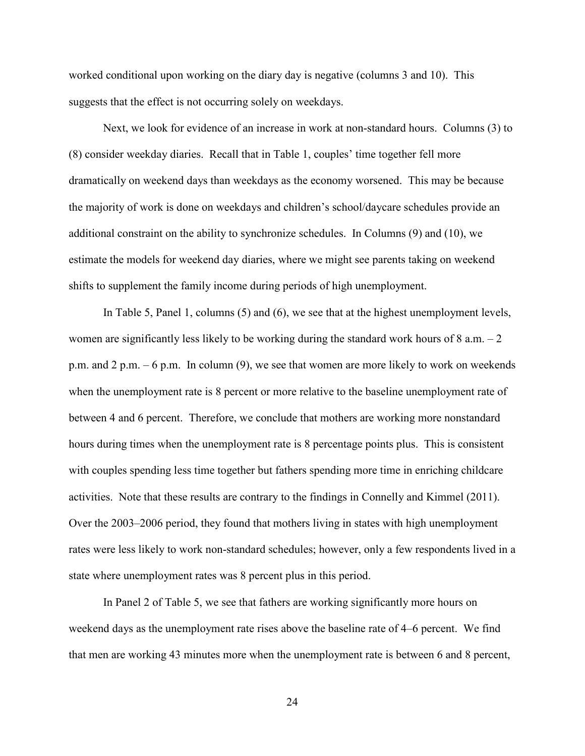worked conditional upon working on the diary day is negative (columns 3 and 10). This suggests that the effect is not occurring solely on weekdays.

Next, we look for evidence of an increase in work at non-standard hours. Columns (3) to (8) consider weekday diaries. Recall that in Table 1, couples' time together fell more dramatically on weekend days than weekdays as the economy worsened. This may be because the majority of work is done on weekdays and children's school/daycare schedules provide an additional constraint on the ability to synchronize schedules. In Columns (9) and (10), we estimate the models for weekend day diaries, where we might see parents taking on weekend shifts to supplement the family income during periods of high unemployment.

In Table 5, Panel 1, columns (5) and (6), we see that at the highest unemployment levels, women are significantly less likely to be working during the standard work hours of  $8$  a.m.  $-2$ p.m. and 2 p.m. – 6 p.m. In column (9), we see that women are more likely to work on weekends when the unemployment rate is 8 percent or more relative to the baseline unemployment rate of between 4 and 6 percent. Therefore, we conclude that mothers are working more nonstandard hours during times when the unemployment rate is 8 percentage points plus. This is consistent with couples spending less time together but fathers spending more time in enriching childcare activities. Note that these results are contrary to the findings in Connelly and Kimmel (2011). Over the 2003–2006 period, they found that mothers living in states with high unemployment rates were less likely to work non-standard schedules; however, only a few respondents lived in a state where unemployment rates was 8 percent plus in this period.

In Panel 2 of Table 5, we see that fathers are working significantly more hours on weekend days as the unemployment rate rises above the baseline rate of 4–6 percent. We find that men are working 43 minutes more when the unemployment rate is between 6 and 8 percent,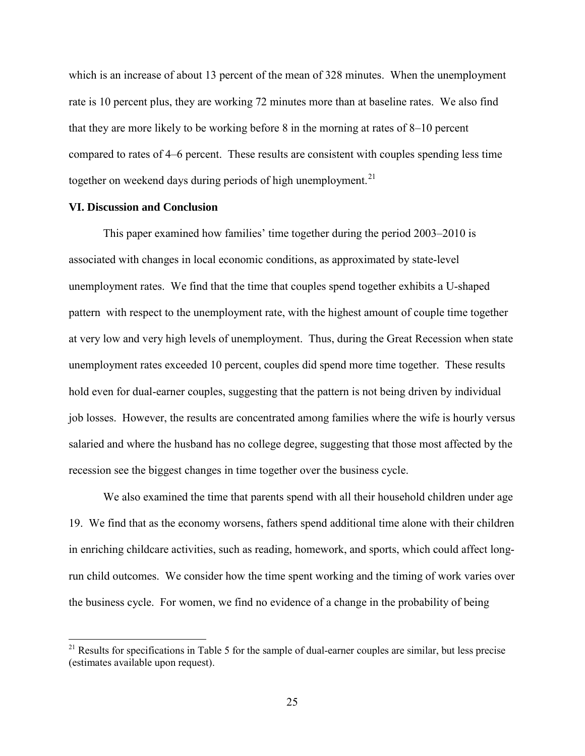which is an increase of about 13 percent of the mean of 328 minutes. When the unemployment rate is 10 percent plus, they are working 72 minutes more than at baseline rates. We also find that they are more likely to be working before 8 in the morning at rates of 8–10 percent compared to rates of 4–6 percent. These results are consistent with couples spending less time together on weekend days during periods of high unemployment.<sup>21</sup>

#### **VI. Discussion and Conclusion**

ı

This paper examined how families' time together during the period 2003–2010 is associated with changes in local economic conditions, as approximated by state-level unemployment rates. We find that the time that couples spend together exhibits a U-shaped pattern with respect to the unemployment rate, with the highest amount of couple time together at very low and very high levels of unemployment. Thus, during the Great Recession when state unemployment rates exceeded 10 percent, couples did spend more time together. These results hold even for dual-earner couples, suggesting that the pattern is not being driven by individual job losses. However, the results are concentrated among families where the wife is hourly versus salaried and where the husband has no college degree, suggesting that those most affected by the recession see the biggest changes in time together over the business cycle.

We also examined the time that parents spend with all their household children under age 19. We find that as the economy worsens, fathers spend additional time alone with their children in enriching childcare activities, such as reading, homework, and sports, which could affect longrun child outcomes. We consider how the time spent working and the timing of work varies over the business cycle. For women, we find no evidence of a change in the probability of being

<span id="page-26-0"></span><sup>&</sup>lt;sup>21</sup> Results for specifications in Table 5 for the sample of dual-earner couples are similar, but less precise (estimates available upon request).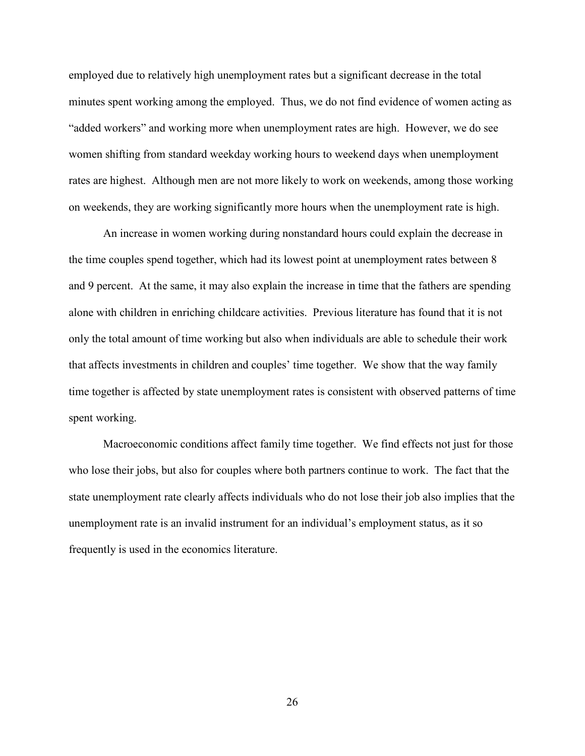employed due to relatively high unemployment rates but a significant decrease in the total minutes spent working among the employed. Thus, we do not find evidence of women acting as "added workers" and working more when unemployment rates are high. However, we do see women shifting from standard weekday working hours to weekend days when unemployment rates are highest. Although men are not more likely to work on weekends, among those working on weekends, they are working significantly more hours when the unemployment rate is high.

An increase in women working during nonstandard hours could explain the decrease in the time couples spend together, which had its lowest point at unemployment rates between 8 and 9 percent. At the same, it may also explain the increase in time that the fathers are spending alone with children in enriching childcare activities. Previous literature has found that it is not only the total amount of time working but also when individuals are able to schedule their work that affects investments in children and couples' time together. We show that the way family time together is affected by state unemployment rates is consistent with observed patterns of time spent working.

Macroeconomic conditions affect family time together. We find effects not just for those who lose their jobs, but also for couples where both partners continue to work. The fact that the state unemployment rate clearly affects individuals who do not lose their job also implies that the unemployment rate is an invalid instrument for an individual's employment status, as it so frequently is used in the economics literature.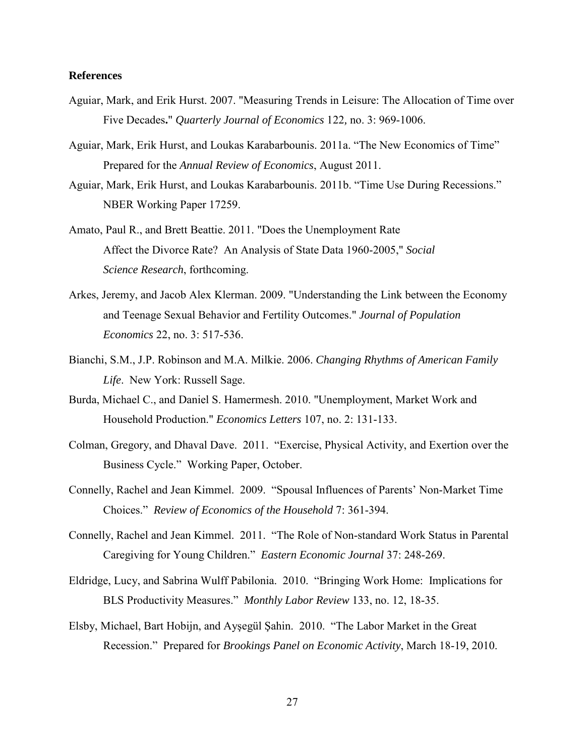#### **References**

- Aguiar, Mark, and Erik Hurst. 2007. "Measuring Trends in Leisure: The Allocation of Time over Five Decades**.**" *Quarterly Journal of Economics* 122*,* no. 3: 969-1006.
- Aguiar, Mark, Erik Hurst, and Loukas Karabarbounis. 2011a. "The New Economics of Time" Prepared for the *Annual Review of Economics*, August 2011.
- Aguiar, Mark, Erik Hurst, and Loukas Karabarbounis. 2011b. "Time Use During Recessions." NBER Working Paper 17259.
- Amato, Paul R., and Brett Beattie. 2011. "Does the Unemployment Rate Affect the Divorce Rate? An Analysis of State Data 1960-2005," *Social Science Research*, forthcoming.
- Arkes, Jeremy, and Jacob Alex Klerman. 2009. "Understanding the Link between the Economy and Teenage Sexual Behavior and Fertility Outcomes." *Journal of Population Economics* 22, no. 3: 517-536.
- Bianchi, S.M., J.P. Robinson and M.A. Milkie. 2006. *Changing Rhythms of American Family Life*. New York: Russell Sage.
- Burda, Michael C., and Daniel S. Hamermesh. 2010. "Unemployment, Market Work and Household Production." *Economics Letters* 107, no. 2: 131-133.
- Colman, Gregory, and Dhaval Dave. 2011. "Exercise, Physical Activity, and Exertion over the Business Cycle." Working Paper, October.
- Connelly, Rachel and Jean Kimmel. 2009. "Spousal Influences of Parents' Non-Market Time Choices." *Review of Economics of the Household* 7: 361-394.
- Connelly, Rachel and Jean Kimmel. 2011. "The Role of Non-standard Work Status in Parental Caregiving for Young Children." *Eastern Economic Journal* 37: 248-269.
- Eldridge, Lucy, and Sabrina Wulff Pabilonia. 2010. "Bringing Work Home: Implications for BLS Productivity Measures." *Monthly Labor Review* 133, no. 12, 18-35.
- Elsby, Michael, Bart Hobijn, and Ayşegül Şahin. 2010. "The Labor Market in the Great Recession." Prepared for *Brookings Panel on Economic Activity*, March 18-19, 2010.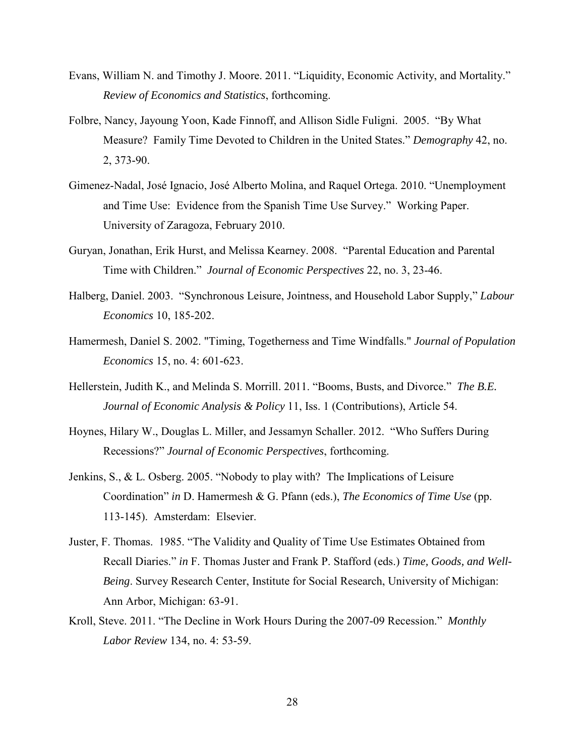- Evans, William N. and Timothy J. Moore. 2011. "Liquidity, Economic Activity, and Mortality." *Review of Economics and Statistics*, forthcoming.
- Folbre, Nancy, Jayoung Yoon, Kade Finnoff, and Allison Sidle Fuligni. 2005. "By What Measure? Family Time Devoted to Children in the United States." *Demography* 42, no. 2, 373-90.
- Gimenez-Nadal, José Ignacio, José Alberto Molina, and Raquel Ortega. 2010. "Unemployment and Time Use: Evidence from the Spanish Time Use Survey." Working Paper. University of Zaragoza, February 2010.
- Guryan, Jonathan, Erik Hurst, and Melissa Kearney. 2008. "Parental Education and Parental Time with Children." *Journal of Economic Perspectives* 22, no. 3, 23-46.
- Halberg, Daniel. 2003. "Synchronous Leisure, Jointness, and Household Labor Supply," *Labour Economics* 10, 185-202.
- Hamermesh, Daniel S. 2002. "Timing, Togetherness and Time Windfalls." *Journal of Population Economics* 15, no. 4: 601-623.
- Hellerstein, Judith K., and Melinda S. Morrill. 2011. "Booms, Busts, and Divorce." *The B.E. Journal of Economic Analysis & Policy* 11, Iss. 1 (Contributions), Article 54.
- Hoynes, Hilary W., Douglas L. Miller, and Jessamyn Schaller. 2012. "Who Suffers During Recessions?" *Journal of Economic Perspectives*, forthcoming.
- Jenkins, S., & L. Osberg. 2005. "Nobody to play with? The Implications of Leisure Coordination" *in* D. Hamermesh & G. Pfann (eds.), *The Economics of Time Use* (pp. 113-145). Amsterdam: Elsevier.
- Juster, F. Thomas. 1985. "The Validity and Quality of Time Use Estimates Obtained from Recall Diaries." *in* F. Thomas Juster and Frank P. Stafford (eds.) *Time, Goods, and Well-Being*. Survey Research Center, Institute for Social Research, University of Michigan: Ann Arbor, Michigan: 63-91.
- Kroll, Steve. 2011. "The Decline in Work Hours During the 2007-09 Recession." *Monthly Labor Review* 134, no. 4: 53-59.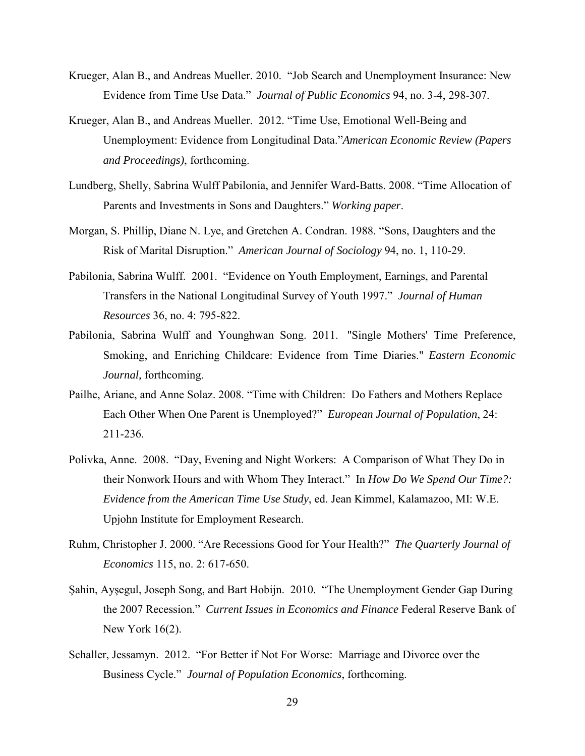- Krueger, Alan B., and Andreas Mueller. 2010. "Job Search and Unemployment Insurance: New Evidence from Time Use Data." *Journal of Public Economics* 94, no. 3-4, 298-307.
- Krueger, Alan B., and Andreas Mueller. 2012. "Time Use, Emotional Well-Being and Unemployment: Evidence from Longitudinal Data."*American Economic Review (Papers and Proceedings)*, forthcoming.
- Lundberg, Shelly, Sabrina Wulff Pabilonia, and Jennifer Ward-Batts. 2008. "Time Allocation of Parents and Investments in Sons and Daughters." *Working paper*.
- Morgan, S. Phillip, Diane N. Lye, and Gretchen A. Condran. 1988. "Sons, Daughters and the Risk of Marital Disruption." *American Journal of Sociology* 94, no. 1, 110-29.
- Pabilonia, Sabrina Wulff. 2001. "Evidence on Youth Employment, Earnings, and Parental Transfers in the National Longitudinal Survey of Youth 1997." *Journal of Human Resources* 36, no. 4: 795-822.
- Pabilonia, Sabrina Wulff and Younghwan Song. 2011. "Single Mothers' Time Preference, Smoking, and Enriching Childcare: Evidence from Time Diaries." *Eastern Economic Journal,* forthcoming.
- Pailhe, Ariane, and Anne Solaz. 2008. "Time with Children: Do Fathers and Mothers Replace Each Other When One Parent is Unemployed?" *European Journal of Population*, 24: 211-236.
- Polivka, Anne. 2008. "Day, Evening and Night Workers: A Comparison of What They Do in their Nonwork Hours and with Whom They Interact." In *How Do We Spend Our Time?: Evidence from the American Time Use Study*, ed. Jean Kimmel, Kalamazoo, MI: W.E. Upjohn Institute for Employment Research.
- Ruhm, Christopher J. 2000. "Are Recessions Good for Your Health?" *The Quarterly Journal of Economics* 115, no. 2: 617-650.
- Şahin, Ayşegul, Joseph Song, and Bart Hobijn. 2010. "The Unemployment Gender Gap During the 2007 Recession." *Current Issues in Economics and Finance* Federal Reserve Bank of New York 16(2).
- Schaller, Jessamyn. 2012. "For Better if Not For Worse: Marriage and Divorce over the Business Cycle." *Journal of Population Economics*, forthcoming.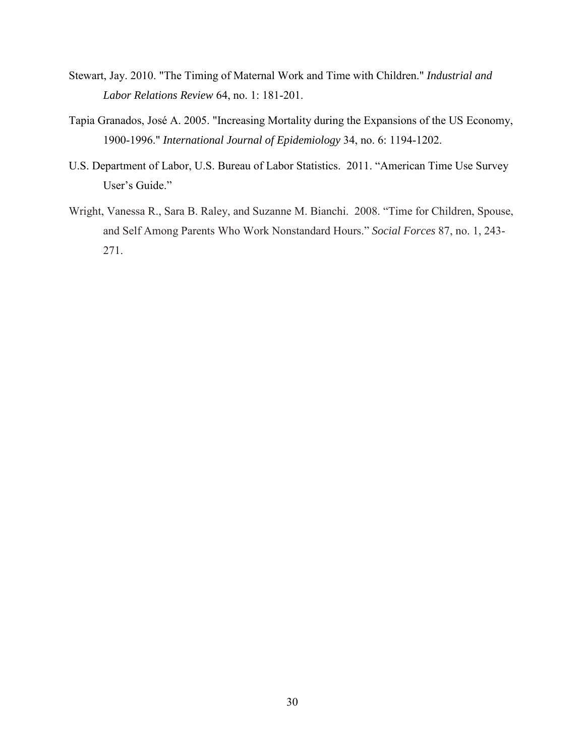- Stewart, Jay. 2010. "The Timing of Maternal Work and Time with Children." *Industrial and Labor Relations Review* 64, no. 1: 181-201.
- Tapia Granados, José A. 2005. "Increasing Mortality during the Expansions of the US Economy, 1900-1996." *International Journal of Epidemiology* 34, no. 6: 1194-1202.
- U.S. Department of Labor, U.S. Bureau of Labor Statistics. 2011. "American Time Use Survey User's Guide."
- Wright, Vanessa R., Sara B. Raley, and Suzanne M. Bianchi. 2008. "Time for Children, Spouse, and Self Among Parents Who Work Nonstandard Hours." *Social Forces* 87, no. 1, 243- 271.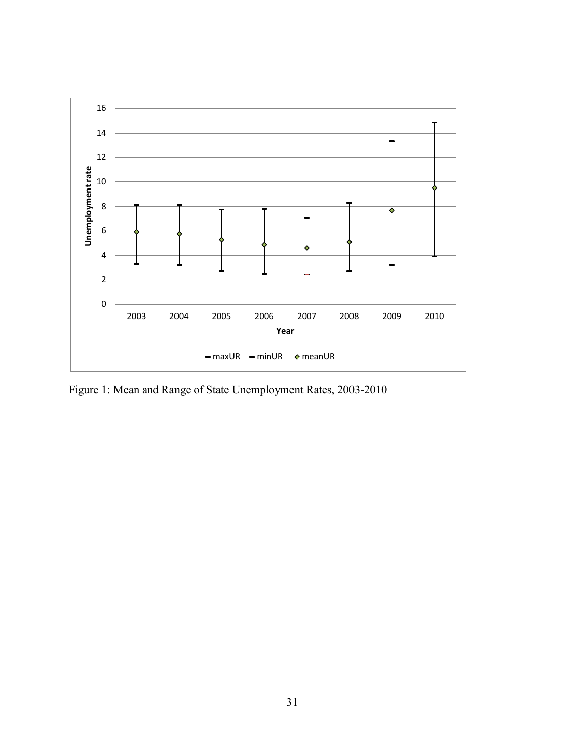

Figure 1: Mean and Range of State Unemployment Rates, 2003-2010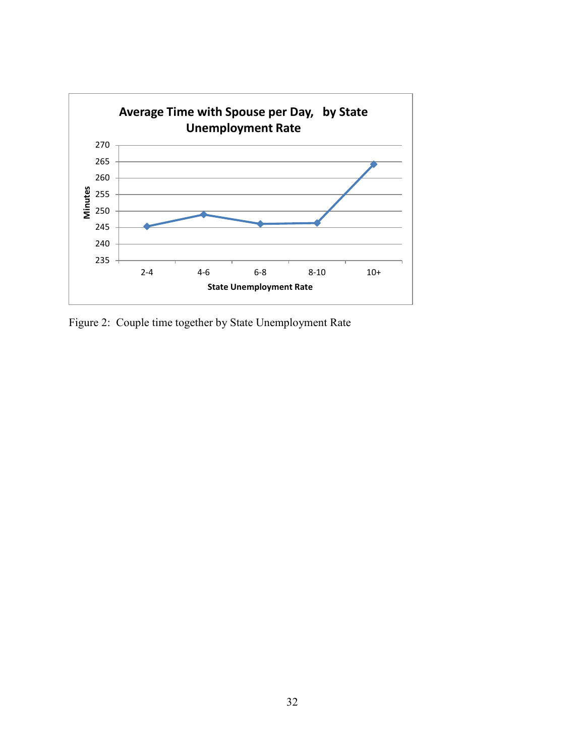

Figure 2: Couple time together by State Unemployment Rate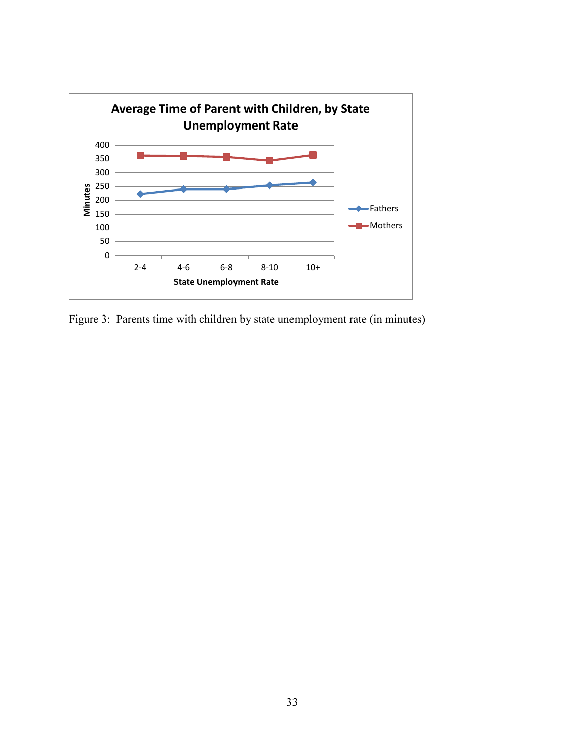

Figure 3: Parents time with children by state unemployment rate (in minutes)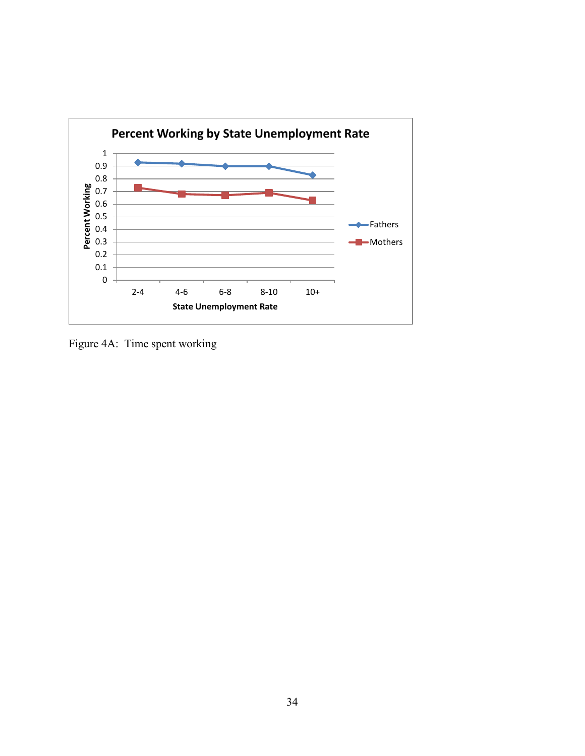

Figure 4A: Time spent working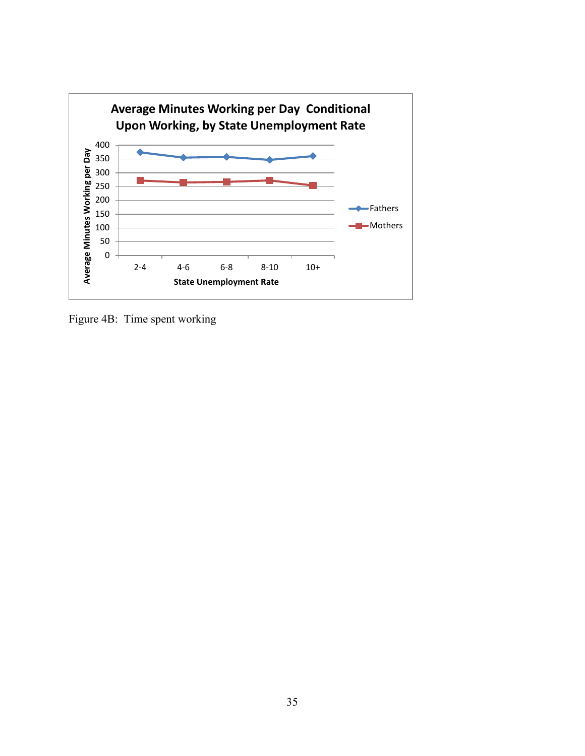

Figure 4B: Time spent working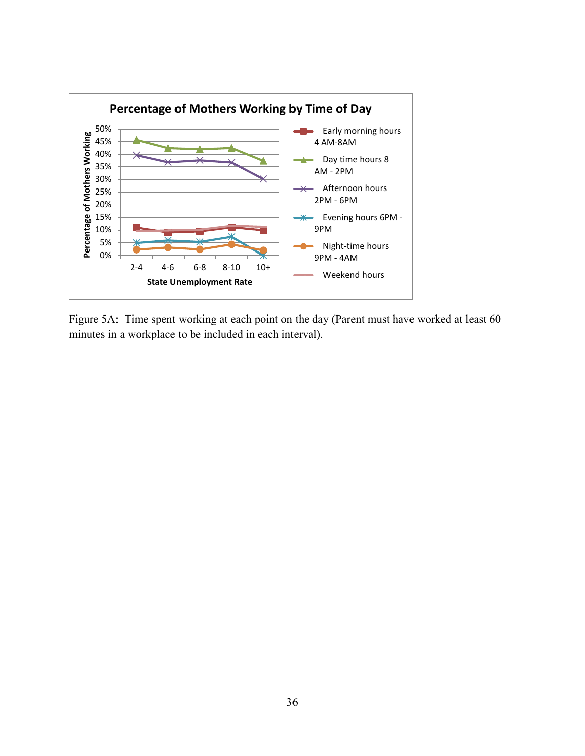

Figure 5A: Time spent working at each point on the day (Parent must have worked at least 60 minutes in a workplace to be included in each interval).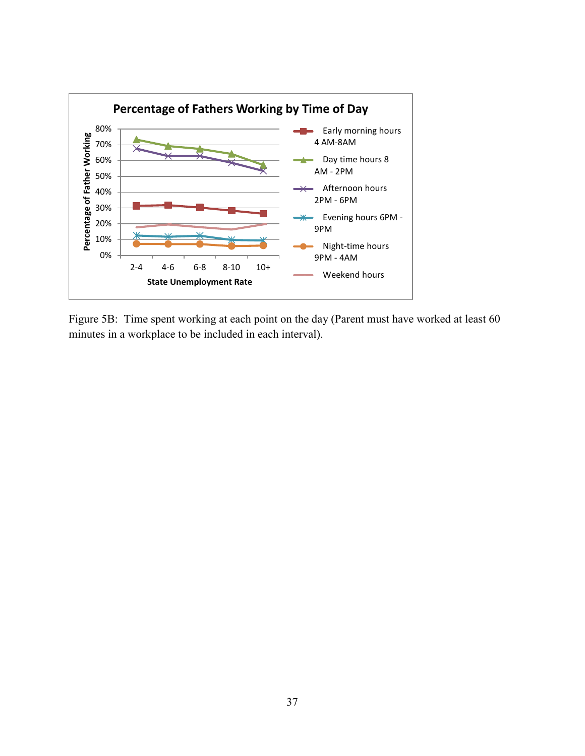

Figure 5B: Time spent working at each point on the day (Parent must have worked at least 60 minutes in a workplace to be included in each interval).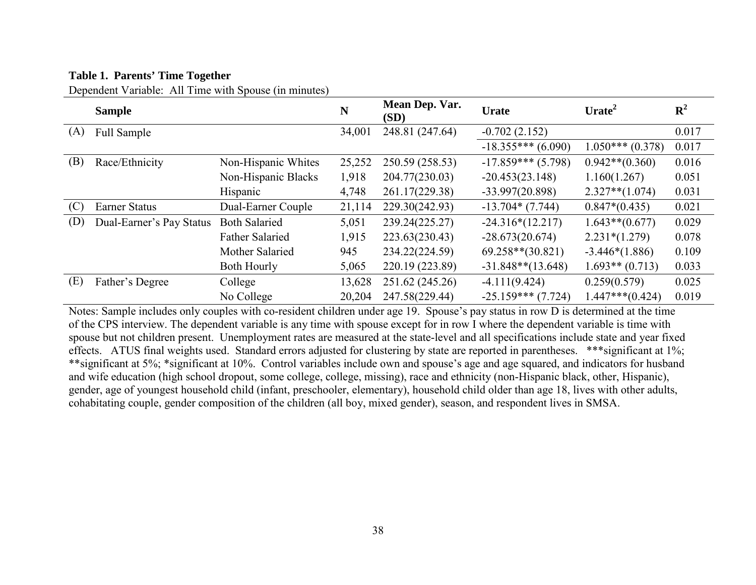### **Table 1. Parents' Time Together**

Dependent Variable: All Time with Spouse (in minutes)

|     | <b>Sample</b>            |                        | N      | Mean Dep. Var.<br>(SD) | <b>Urate</b>         | Urate <sup>2</sup> | ${\bf R}^2$ |
|-----|--------------------------|------------------------|--------|------------------------|----------------------|--------------------|-------------|
| (A) | Full Sample              |                        | 34,001 | 248.81 (247.64)        | $-0.702(2.152)$      |                    | 0.017       |
|     |                          |                        |        |                        | $-18.355***(6.090)$  | $1.050***(0.378)$  | 0.017       |
| (B) | Race/Ethnicity           | Non-Hispanic Whites    | 25,252 | 250.59 (258.53)        | $-17.859***$ (5.798) | $0.942**$ (0.360)  | 0.016       |
|     |                          | Non-Hispanic Blacks    | 1,918  | 204.77(230.03)         | $-20.453(23.148)$    | 1.160(1.267)       | 0.051       |
|     |                          | Hispanic               | 4,748  | 261.17(229.38)         | $-33.997(20.898)$    | $2.327**$ (1.074)  | 0.031       |
| (C) | Earner Status            | Dual-Earner Couple     | 21,114 | 229.30(242.93)         | $-13.704*(7.744)$    | $0.847*(0.435)$    | 0.021       |
| (D) | Dual-Earner's Pay Status | <b>Both Salaried</b>   | 5,051  | 239.24(225.27)         | $-24.316*(12.217)$   | $1.643**$ (0.677)  | 0.029       |
|     |                          | <b>Father Salaried</b> | 1,915  | 223.63(230.43)         | $-28.673(20.674)$    | $2.231*(1.279)$    | 0.078       |
|     |                          | Mother Salaried        | 945    | 234.22(224.59)         | $69.258**$ (30.821)  | $-3.446*(1.886)$   | 0.109       |
|     |                          | <b>Both Hourly</b>     | 5,065  | 220.19 (223.89)        | $-31.848**$ (13.648) | $1.693**$ (0.713)  | 0.033       |
| (E) | Father's Degree          | College                | 13,628 | 251.62 (245.26)        | $-4.111(9.424)$      | 0.259(0.579)       | 0.025       |
|     |                          | No College             | 20,204 | 247.58(229.44)         | $-25.159***$ (7.724) | $1.447***(0.424)$  | 0.019       |

Notes: Sample includes only couples with co-resident children under age 19. Spouse's pay status in row D is determined at the time of the CPS interview. The dependent variable is any time with spouse except for in row I where the dependent variable is time with spouse but not children present. Unemployment rates are measured at the state-level and all specifications include state and year fixed effects. ATUS final weights used. Standard errors adjusted for clustering by state are reported in parentheses. \*\*\*significant at 1%; \*\*significant at 5%; \*significant at 10%. Control variables include own and spouse's age and age squared, and indicators for husband and wife education (high school dropout, some college, college, missing), race and ethnicity (non-Hispanic black, other, Hispanic), gender, age of youngest household child (infant, preschooler, elementary), household child older than age 18, lives with other adults, cohabitating couple, gender composition of the children (all boy, mixed gender), season, and respondent lives in SMSA.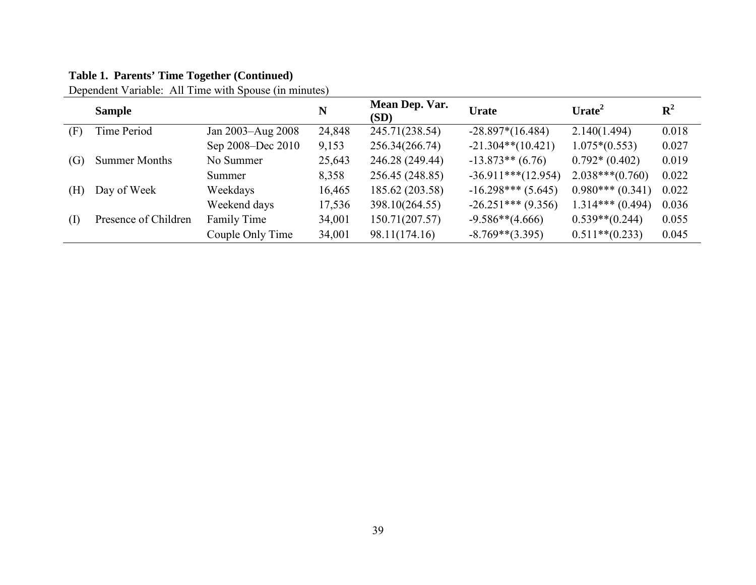# **Table 1. Parents' Time Together (Continued)**

Dependent Variable: All Time with Spouse (in minutes)

|                   | <b>Sample</b>        |                   | N      | Mean Dep. Var.<br>(SD) | <b>Urate</b>          | Urate <sup>2</sup> | ${\bf R}^2$ |
|-------------------|----------------------|-------------------|--------|------------------------|-----------------------|--------------------|-------------|
| (F)               | Time Period          | Jan 2003-Aug 2008 | 24,848 | 245.71(238.54)         | $-28.897*(16.484)$    | 2.140(1.494)       | 0.018       |
|                   |                      | Sep 2008–Dec 2010 | 9,153  | 256.34(266.74)         | $-21.304**$ (10.421)  | $1.075*(0.553)$    | 0.027       |
| $\left( G\right)$ | <b>Summer Months</b> | No Summer         | 25,643 | 246.28 (249.44)        | $-13.873**$ (6.76)    | $0.792*(0.402)$    | 0.019       |
|                   |                      | Summer            | 8,358  | 256.45 (248.85)        | $-36.911***$ (12.954) | $2.038***(0.760)$  | 0.022       |
| (H)               | Day of Week          | Weekdays          | 16,465 | 185.62 (203.58)        | $-16.298***$ (5.645)  | $0.980***(0.341)$  | 0.022       |
|                   |                      | Weekend days      | 17,536 | 398.10(264.55)         | $-26.251***$ (9.356)  | $1.314***(0.494)$  | 0.036       |
| (I)               | Presence of Children | Family Time       | 34,001 | 150.71(207.57)         | $-9.586**$ (4.666)    | $0.539** (0.244)$  | 0.055       |
|                   |                      | Couple Only Time  | 34,001 | 98.11(174.16)          | $-8.769**$ (3.395)    | $0.511**$ (0.233)  | 0.045       |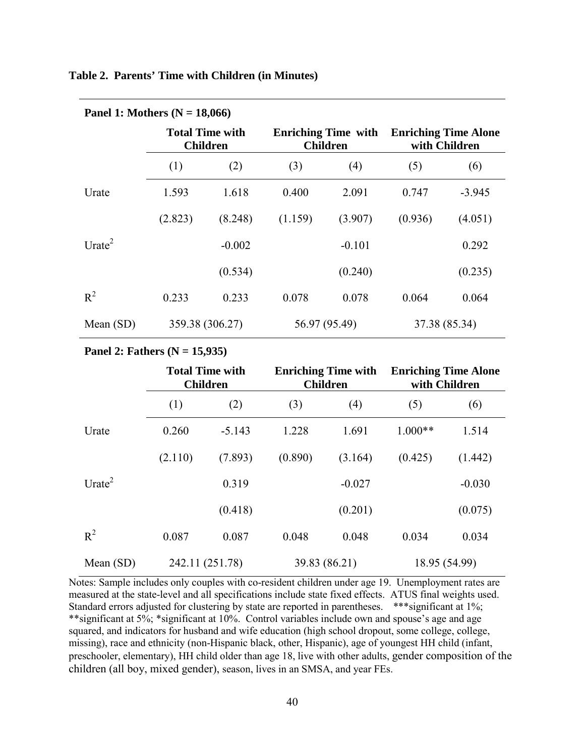#### **Table 2. Parents' Time with Children (in Minutes)**

| <b>Patiel 1:</b> MOUTER $(N = 10,000)$ |            |                                           |               |                                               |                                              |          |  |  |  |
|----------------------------------------|------------|-------------------------------------------|---------------|-----------------------------------------------|----------------------------------------------|----------|--|--|--|
|                                        |            | <b>Total Time with</b><br><b>Children</b> |               | <b>Enriching Time with</b><br><b>Children</b> | <b>Enriching Time Alone</b><br>with Children |          |  |  |  |
|                                        | (2)<br>(1) |                                           | (3)           | (4)                                           | (5)                                          | (6)      |  |  |  |
| Urate                                  | 1.593      | 1.618                                     | 0.400         | 2.091                                         | 0.747                                        | $-3.945$ |  |  |  |
|                                        | (2.823)    | (8.248)                                   | (1.159)       | (3.907)                                       | (0.936)                                      | (4.051)  |  |  |  |
| Urate $2$                              |            | $-0.002$                                  |               | $-0.101$                                      |                                              | 0.292    |  |  |  |
|                                        |            | (0.534)                                   |               | (0.240)                                       |                                              | (0.235)  |  |  |  |
| $R^2$                                  | 0.233      | 0.233                                     | 0.078         | 0.078                                         | 0.064                                        | 0.064    |  |  |  |
| 359.38 (306.27)<br>Mean $(SD)$         |            |                                           | 56.97 (95.49) | 37.38 (85.34)                                 |                                              |          |  |  |  |

## **Panel 1: Mothers (N = 18,066)**

#### **Panel 2: Fathers (N = 15,935)**

|             |         | <b>Total Time with</b><br><b>Children</b> |         | <b>Enriching Time with</b><br><b>Children</b> | <b>Enriching Time Alone</b><br>with Children |          |  |
|-------------|---------|-------------------------------------------|---------|-----------------------------------------------|----------------------------------------------|----------|--|
|             | (1)     | (2)                                       | (3)     | (4)                                           | (5)                                          | (6)      |  |
| Urate       | 0.260   | $-5.143$                                  | 1.228   | 1.691                                         | $1.000**$                                    | 1.514    |  |
|             | (2.110) | (7.893)                                   | (0.890) | (3.164)                                       | (0.425)                                      | (1.442)  |  |
| Urate $2$   |         | 0.319                                     |         | $-0.027$                                      |                                              | $-0.030$ |  |
|             |         | (0.418)                                   |         | (0.201)                                       |                                              | (0.075)  |  |
| $R^2$       | 0.087   | 0.087                                     | 0.048   | 0.048                                         | 0.034                                        | 0.034    |  |
| Mean $(SD)$ |         | 242.11 (251.78)                           |         | 39.83 (86.21)                                 | 18.95 (54.99)                                |          |  |

Notes: Sample includes only couples with co-resident children under age 19. Unemployment rates are measured at the state-level and all specifications include state fixed effects. ATUS final weights used. Standard errors adjusted for clustering by state are reported in parentheses. \*\*\* significant at 1%; \*\*significant at 5%; \*significant at 10%. Control variables include own and spouse's age and age squared, and indicators for husband and wife education (high school dropout, some college, college, missing), race and ethnicity (non-Hispanic black, other, Hispanic), age of youngest HH child (infant, preschooler, elementary), HH child older than age 18, live with other adults, gender composition of the children (all boy, mixed gender), season, lives in an SMSA, and year FEs.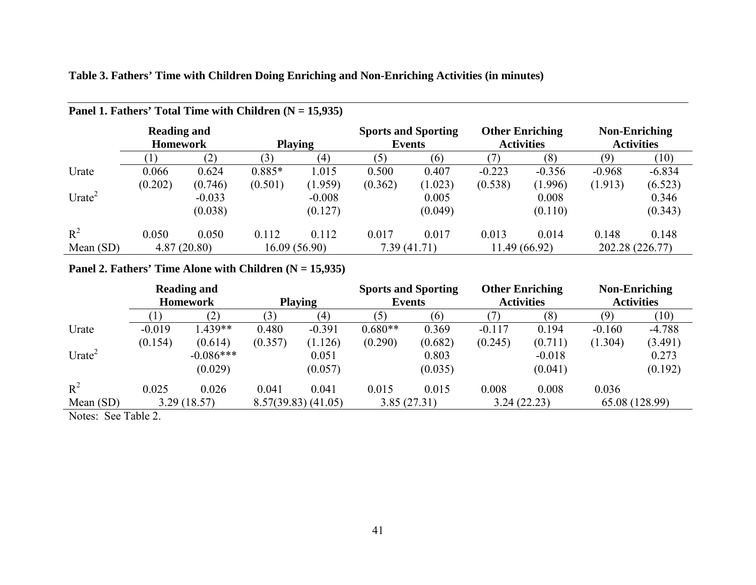|                                      | Panel 1. Fathers' Total Time with Children $(N = 15,935)$ |             |                |              |                                      |             |                                             |               |                                           |                 |  |  |
|--------------------------------------|-----------------------------------------------------------|-------------|----------------|--------------|--------------------------------------|-------------|---------------------------------------------|---------------|-------------------------------------------|-----------------|--|--|
|                                      | <b>Reading and</b><br><b>Homework</b>                     |             | <b>Playing</b> |              | <b>Sports and Sporting</b><br>Events |             | <b>Other Enriching</b><br><b>Activities</b> |               | <b>Non-Enriching</b><br><b>Activities</b> |                 |  |  |
|                                      |                                                           | (2)         | (3)            | (4)          | (5)                                  | (6)         |                                             | (8)           | (9)                                       | (10)            |  |  |
| Urate                                | 0.066                                                     | 0.624       | $0.885*$       | 1.015        | 0.500                                | 0.407       | $-0.223$                                    | $-0.356$      | $-0.968$                                  | $-6.834$        |  |  |
|                                      | (0.202)                                                   | (0.746)     | (0.501)        | (1.959)      | (0.362)                              | (1.023)     | (0.538)                                     | (1.996)       | (1.913)                                   | (6.523)         |  |  |
| Urate <sup><math>\angle</math></sup> |                                                           | $-0.033$    |                | $-0.008$     |                                      | 0.005       |                                             | 0.008         |                                           | 0.346           |  |  |
|                                      |                                                           | (0.038)     |                | (0.127)      |                                      | (0.049)     |                                             | (0.110)       |                                           | (0.343)         |  |  |
| $R^2$                                | 0.050                                                     | 0.050       | 0.112          | 0.112        | 0.017                                | 0.017       | 0.013                                       | 0.014         | 0.148                                     | 0.148           |  |  |
| Mean $(SD)$                          |                                                           | 4.87(20.80) |                | 16.09(56.90) |                                      | 7.39(41.71) |                                             | 11.49 (66.92) |                                           | 202.28 (226.77) |  |  |

## **Table 3. Fathers' Time with Children Doing Enriching and Non-Enriching Activities (in minutes)**

### Panel 2. Fathers' Time Alone with Children (N = 15,935)

|                        |                  | <b>Reading and</b> |                |                         | <b>Sports and Sporting</b> |         | <b>Other Enriching</b> |             | <b>Non-Enriching</b> |                |
|------------------------|------------------|--------------------|----------------|-------------------------|----------------------------|---------|------------------------|-------------|----------------------|----------------|
|                        |                  | <b>Homework</b>    | <b>Playing</b> |                         | <b>Events</b>              |         | <b>Activities</b>      |             | <b>Activities</b>    |                |
|                        |                  | (2)                | (3)            | (4)                     | (5)                        | (6)     |                        | (8)         | (9)                  | (10)           |
| Urate                  | $-0.019$         | $1.439**$          | 0.480          | $-0.391$                | $0.680**$                  | 0.369   | $-0.117$               | 0.194       | $-0.160$             | $-4.788$       |
|                        | (0.154)          | (0.614)            | (0.357)        | (1.126)                 | (0.290)                    | (0.682) | (0.245)                | (0.711)     | (1.304)              | (3.491)        |
| Urate <sup>2</sup>     |                  | $-0.086***$        |                | 0.051                   |                            | 0.803   |                        | $-0.018$    |                      | 0.273          |
|                        |                  | (0.029)            |                | (0.057)                 |                            | (0.035) |                        | (0.041)     |                      | (0.192)        |
| $R^2$                  | 0.025            | 0.026              | 0.041          | 0.041                   | 0.015                      | 0.015   | 0.008                  | 0.008       | 0.036                |                |
| Mean $(SD)$            |                  | 3.29(18.57)        |                | $8.57(39.83)$ $(41.05)$ | 3.85(27.31)                |         |                        | 3.24(22.23) |                      | 65.08 (128.99) |
| $\mathbf{X}$<br>$\sim$ | $\sim$ 11 $\sim$ |                    |                |                         |                            |         |                        |             |                      |                |

Notes: See Table 2.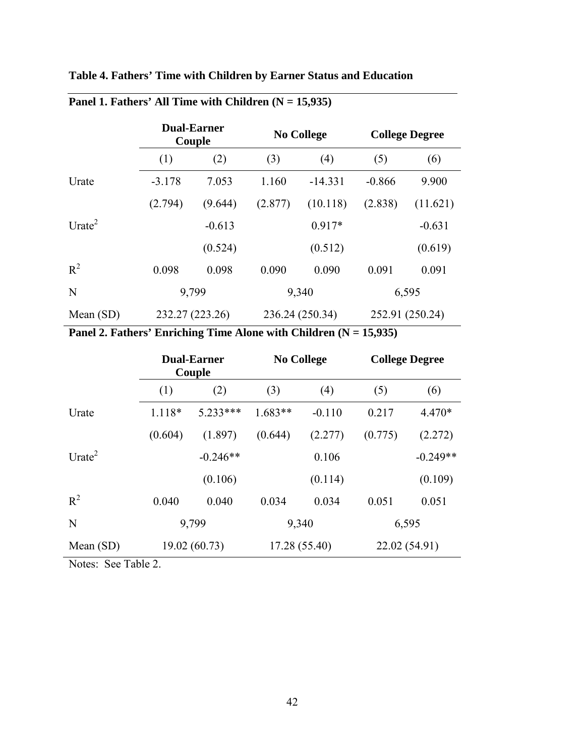**Table 4. Fathers' Time with Children by Earner Status and Education** 

|                    |                 | <b>Dual-Earner</b><br>Couple |         | <b>No College</b> | <b>College Degree</b> |          |  |
|--------------------|-----------------|------------------------------|---------|-------------------|-----------------------|----------|--|
|                    | (1)             | (2)                          | (3)     | (4)               | (5)                   | (6)      |  |
| Urate              | $-3.178$        | 7.053                        | 1.160   | $-14.331$         | $-0.866$              | 9.900    |  |
|                    | (2.794)         | (9.644)                      | (2.877) | (10.118)          | (2.838)               | (11.621) |  |
| Urate <sup>2</sup> |                 | $-0.613$                     |         | $0.917*$          |                       | $-0.631$ |  |
|                    |                 | (0.524)                      |         | (0.512)           |                       | (0.619)  |  |
| $R^2$              | 0.098           | 0.098                        | 0.090   | 0.090             | 0.091                 | 0.091    |  |
| N                  | 9,799           |                              |         | 9,340             | 6,595                 |          |  |
| Mean $(SD)$        | 232.27 (223.26) |                              |         | 236.24 (250.34)   | 252.91 (250.24)       |          |  |

# Panel 1. Fathers' All Time with Children (N = 15,935)

Panel 2. Fathers' Enriching Time Alone with Children (N = 15,935)

|                                                                                                                                                                                                                                                                                                                                    |              | <b>Dual-Earner</b><br>Couple |           | <b>No College</b> | <b>College Degree</b> |            |  |
|------------------------------------------------------------------------------------------------------------------------------------------------------------------------------------------------------------------------------------------------------------------------------------------------------------------------------------|--------------|------------------------------|-----------|-------------------|-----------------------|------------|--|
|                                                                                                                                                                                                                                                                                                                                    | (1)          | (2)                          | (3)       | (4)               | (5)                   | (6)        |  |
| Urate                                                                                                                                                                                                                                                                                                                              | $1.118*$     | $5.233***$                   | $1.683**$ | $-0.110$          | 0.217                 | 4.470*     |  |
|                                                                                                                                                                                                                                                                                                                                    | (0.604)      | (1.897)                      | (0.644)   | (2.277)           | (0.775)               | (2.272)    |  |
| Urate <sup>2</sup>                                                                                                                                                                                                                                                                                                                 |              | $-0.246**$                   |           | 0.106             |                       | $-0.249**$ |  |
|                                                                                                                                                                                                                                                                                                                                    |              | (0.106)                      |           | (0.114)           |                       | (0.109)    |  |
| $R^2$                                                                                                                                                                                                                                                                                                                              | 0.040        | 0.040                        | 0.034     | 0.034             | 0.051                 | 0.051      |  |
| N                                                                                                                                                                                                                                                                                                                                  |              | 9,799                        |           | 9,340             | 6,595                 |            |  |
| Mean $(SD)$                                                                                                                                                                                                                                                                                                                        | 19.02(60.73) |                              |           | 17.28 (55.40)     | 22.02 (54.91)         |            |  |
| $\mathbf{M}$ $\mathbf{M}$ $\mathbf{M}$ $\mathbf{M}$ $\mathbf{M}$ $\mathbf{M}$ $\mathbf{M}$ $\mathbf{M}$ $\mathbf{M}$ $\mathbf{M}$ $\mathbf{M}$ $\mathbf{M}$ $\mathbf{M}$ $\mathbf{M}$ $\mathbf{M}$ $\mathbf{M}$ $\mathbf{M}$ $\mathbf{M}$ $\mathbf{M}$ $\mathbf{M}$ $\mathbf{M}$ $\mathbf{M}$ $\mathbf{M}$ $\mathbf{M}$ $\mathbf{$ |              |                              |           |                   |                       |            |  |

Notes: See Table 2.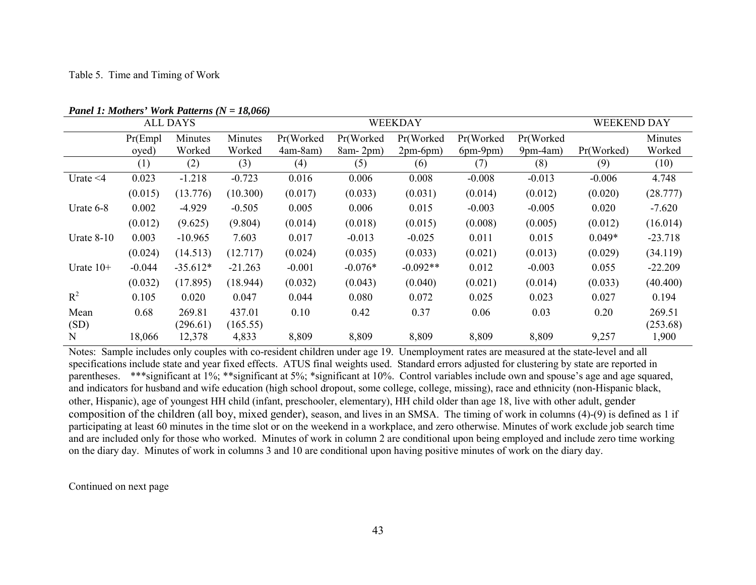|                |          | ALL DAYS   |           |            | <b>WEEKDAY</b> |            | <b>WEEKEND DAY</b> |            |            |           |
|----------------|----------|------------|-----------|------------|----------------|------------|--------------------|------------|------------|-----------|
|                | Pr(Emp1) | Minutes    | Minutes   | Pr(Worked  | Pr(Worked      | Pr(Worked  | Pr(Worked          | Pr(Worked  |            | Minutes   |
|                | oved)    | Worked     | Worked    | $4am-8am)$ | $8am-2pm)$     | $2pm-6pm)$ | $6pm-9pm)$         | $9pm-4am)$ | Pr(Worked) | Worked    |
|                | (1)      | (2)        | (3)       | (4)        | (5)            | (6)        | (7)                | (8)        | (9)        | (10)      |
| Urate $\leq 4$ | 0.023    | $-1.218$   | $-0.723$  | 0.016      | 0.006          | 0.008      | $-0.008$           | $-0.013$   | $-0.006$   | 4.748     |
|                | (0.015)  | (13.776)   | (10.300)  | (0.017)    | (0.033)        | (0.031)    | (0.014)            | (0.012)    | (0.020)    | (28.777)  |
| Urate 6-8      | 0.002    | $-4.929$   | $-0.505$  | 0.005      | 0.006          | 0.015      | $-0.003$           | $-0.005$   | 0.020      | $-7.620$  |
|                | (0.012)  | (9.625)    | (9.804)   | (0.014)    | (0.018)        | (0.015)    | (0.008)            | (0.005)    | (0.012)    | (16.014)  |
| Urate $8-10$   | 0.003    | $-10.965$  | 7.603     | 0.017      | $-0.013$       | $-0.025$   | 0.011              | 0.015      | $0.049*$   | $-23.718$ |
|                | (0.024)  | (14.513)   | (12.717)  | (0.024)    | (0.035)        | (0.033)    | (0.021)            | (0.013)    | (0.029)    | (34.119)  |
| Urate $10+$    | $-0.044$ | $-35.612*$ | $-21.263$ | $-0.001$   | $-0.076*$      | $-0.092**$ | 0.012              | $-0.003$   | 0.055      | $-22.209$ |
|                | (0.032)  | (17.895)   | (18.944)  | (0.032)    | (0.043)        | (0.040)    | (0.021)            | (0.014)    | (0.033)    | (40.400)  |
| $R^2$          | 0.105    | 0.020      | 0.047     | 0.044      | 0.080          | 0.072      | 0.025              | 0.023      | 0.027      | 0.194     |
| Mean           | 0.68     | 269.81     | 437.01    | 0.10       | 0.42           | 0.37       | 0.06               | 0.03       | 0.20       | 269.51    |
| (SD)           |          | (296.61)   | (165.55)  |            |                |            |                    |            |            | (253.68)  |
| N              | 18,066   | 12,378     | 4,833     | 8,809      | 8,809          | 8,809      | 8,809              | 8,809      | 9,257      | 1,900     |

*Panel 1: Mothers' Work Patterns (N = 18,066)*

Notes: Sample includes only couples with co-resident children under age 19. Unemployment rates are measured at the state-level and all specifications include state and year fixed effects. ATUS final weights used. Standard errors adjusted for clustering by state are reported in parentheses. \*\*\*significant at 1%; \*\*significant at 5%; \*significant at 10%. Control variables include own and spouse's age and age squared, and indicators for husband and wife education (high school dropout, some college, college, missing), race and ethnicity (non-Hispanic black, other, Hispanic), age of youngest HH child (infant, preschooler, elementary), HH child older than age 18, live with other adult, gender composition of the children (all boy, mixed gender), season, and lives in an SMSA. The timing of work in columns (4)-(9) is defined as 1 if participating at least 60 minutes in the time slot or on the weekend in a workplace, and zero otherwise. Minutes of work exclude job search time and are included only for those who worked. Minutes of work in column 2 are conditional upon being employed and include zero time working on the diary day. Minutes of work in columns 3 and 10 are conditional upon having positive minutes of work on the diary day.

Continued on next page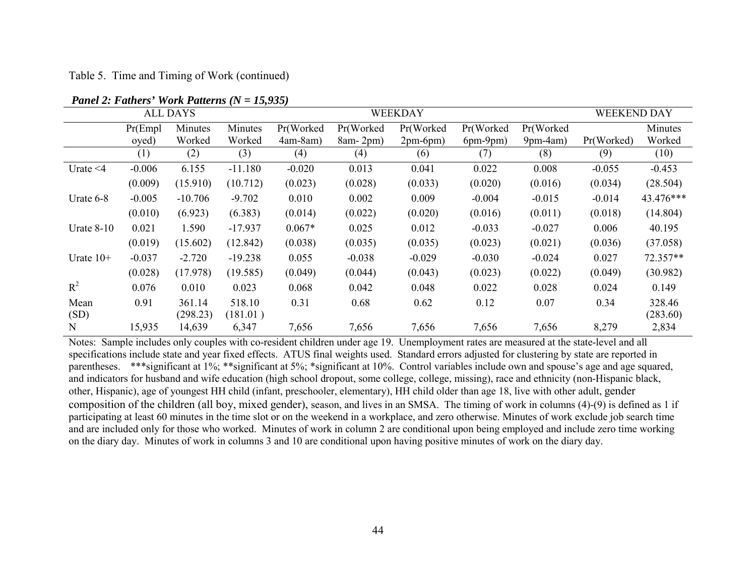Table 5. Time and Timing of Work (continued)

|                |                               | <b>ALL DAYS</b>    |                    | WEEKDAY   |            |            |            | <b>WEEKEND DAY</b> |            |                    |
|----------------|-------------------------------|--------------------|--------------------|-----------|------------|------------|------------|--------------------|------------|--------------------|
|                | Minutes<br>Pr(Emp1<br>Minutes |                    |                    | Pr(Worked | Pr(Worked) | Pr(Worked  | Pr(Worked  | Pr(Worked          |            | Minutes            |
|                | oyed)                         | Worked             | Worked             | 4am-8am)  | $8am-2pm)$ | $2pm-6pm)$ | $6pm-9pm)$ | $9pm-4am)$         | Pr(Worked) | Worked             |
|                | (1)                           | (2)                | (3)                | (4)       | (4)        | (6)        | (7)        | (8)                | (9)        | (10)               |
| Urate $\leq 4$ | $-0.006$                      | 6.155              | $-11.180$          | $-0.020$  | 0.013      | 0.041      | 0.022      | 0.008              | $-0.055$   | $-0.453$           |
|                | (0.009)                       | (15.910)           | (10.712)           | (0.023)   | (0.028)    | (0.033)    | (0.020)    | (0.016)            | (0.034)    | (28.504)           |
| Urate 6-8      | $-0.005$                      | $-10.706$          | $-9.702$           | 0.010     | 0.002      | 0.009      | $-0.004$   | $-0.015$           | $-0.014$   | 43.476***          |
|                | (0.010)                       | (6.923)            | (6.383)            | (0.014)   | (0.022)    | (0.020)    | (0.016)    | (0.011)            | (0.018)    | (14.804)           |
| Urate $8-10$   | 0.021                         | 1.590              | $-17.937$          | $0.067*$  | 0.025      | 0.012      | $-0.033$   | $-0.027$           | 0.006      | 40.195             |
|                | (0.019)                       | (15.602)           | (12.842)           | (0.038)   | (0.035)    | (0.035)    | (0.023)    | (0.021)            | (0.036)    | (37.058)           |
| Urate $10+$    | $-0.037$                      | $-2.720$           | $-19.238$          | 0.055     | $-0.038$   | $-0.029$   | $-0.030$   | $-0.024$           | 0.027      | 72.357**           |
|                | (0.028)                       | (17.978)           | (19.585)           | (0.049)   | (0.044)    | (0.043)    | (0.023)    | (0.022)            | (0.049)    | (30.982)           |
| $R^2$          | 0.076                         | 0.010              | 0.023              | 0.068     | 0.042      | 0.048      | 0.022      | 0.028              | 0.024      | 0.149              |
| Mean<br>(SD)   | 0.91                          | 361.14<br>(298.23) | 518.10<br>(181.01) | 0.31      | 0.68       | 0.62       | 0.12       | 0.07               | 0.34       | 328.46<br>(283.60) |
| N              | 15,935                        | 14,639             | 6,347              | 7,656     | 7,656      | 7,656      | 7,656      | 7,656              | 8,279      | 2,834              |

*Panel 2: Fathers' Work Patterns (N = 15,935)*

Notes: Sample includes only couples with co-resident children under age 19. Unemployment rates are measured at the state-level and all specifications include state and year fixed effects. ATUS final weights used. Standard errors adjusted for clustering by state are reported in parentheses. \*\*\*significant at 1%; \*\*significant at 5%; \*significant at 10%. Control variables include own and spouse's age and age squared, and indicators for husband and wife education (high school dropout, some college, college, missing), race and ethnicity (non-Hispanic black, other, Hispanic), age of youngest HH child (infant, preschooler, elementary), HH child older than age 18, live with other adult, gender composition of the children (all boy, mixed gender), season, and lives in an SMSA. The timing of work in columns (4)-(9) is defined as 1 if participating at least 60 minutes in the time slot or on the weekend in a workplace, and zero otherwise. Minutes of work exclude job search time and are included only for those who worked. Minutes of work in column 2 are conditional upon being employed and include zero time working on the diary day. Minutes of work in columns 3 and 10 are conditional upon having positive minutes of work on the diary day.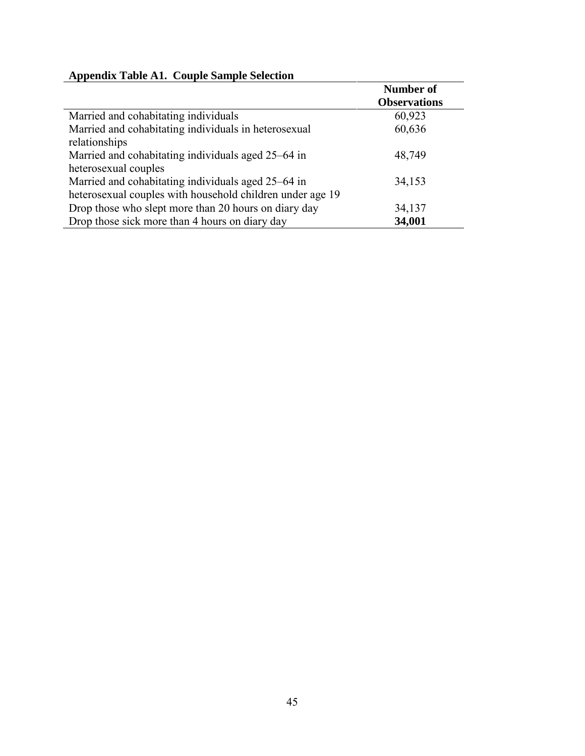|  | <b>Appendix Table A1. Couple Sample Selection</b> |
|--|---------------------------------------------------|
|--|---------------------------------------------------|

|                                                           | <b>Number of</b>    |
|-----------------------------------------------------------|---------------------|
|                                                           | <b>Observations</b> |
| Married and cohabitating individuals                      | 60,923              |
| Married and cohabitating individuals in heterosexual      | 60,636              |
| relationships                                             |                     |
| Married and cohabitating individuals aged 25–64 in        | 48,749              |
| heterosexual couples                                      |                     |
| Married and cohabitating individuals aged 25–64 in        | 34,153              |
| heterosexual couples with household children under age 19 |                     |
| Drop those who slept more than 20 hours on diary day      | 34,137              |
| Drop those sick more than 4 hours on diary day            | 34,001              |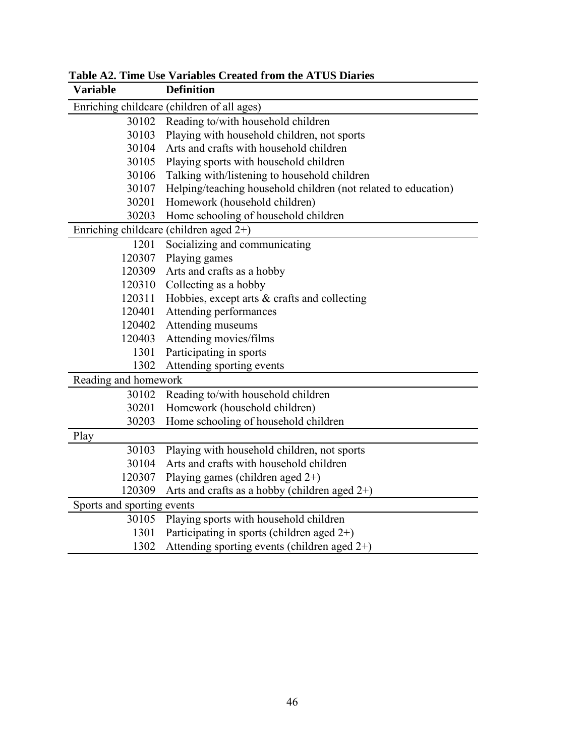| Variable                                   | <b>Definition</b>                                              |  |  |
|--------------------------------------------|----------------------------------------------------------------|--|--|
| Enriching childcare (children of all ages) |                                                                |  |  |
| 30102                                      | Reading to/with household children                             |  |  |
| 30103                                      | Playing with household children, not sports                    |  |  |
| 30104                                      | Arts and crafts with household children                        |  |  |
| 30105                                      | Playing sports with household children                         |  |  |
| 30106                                      | Talking with/listening to household children                   |  |  |
| 30107                                      | Helping/teaching household children (not related to education) |  |  |
| 30201                                      | Homework (household children)                                  |  |  |
| 30203                                      | Home schooling of household children                           |  |  |
| Enriching childcare (children aged $2+$ )  |                                                                |  |  |
| 1201                                       | Socializing and communicating                                  |  |  |
| 120307                                     | Playing games                                                  |  |  |
| 120309                                     | Arts and crafts as a hobby                                     |  |  |
| 120310                                     | Collecting as a hobby                                          |  |  |
| 120311                                     | Hobbies, except arts & crafts and collecting                   |  |  |
| 120401                                     | Attending performances                                         |  |  |
| 120402                                     | Attending museums                                              |  |  |
| 120403                                     | Attending movies/films                                         |  |  |
| 1301                                       | Participating in sports                                        |  |  |
| 1302                                       | Attending sporting events                                      |  |  |
| Reading and homework                       |                                                                |  |  |
| 30102                                      | Reading to/with household children                             |  |  |
| 30201                                      | Homework (household children)                                  |  |  |
| 30203                                      | Home schooling of household children                           |  |  |
| Play                                       |                                                                |  |  |
| 30103                                      | Playing with household children, not sports                    |  |  |
| 30104                                      | Arts and crafts with household children                        |  |  |
| 120307                                     | Playing games (children aged $2+$ )                            |  |  |
| 120309                                     | Arts and crafts as a hobby (children aged $2+$ )               |  |  |
| Sports and sporting events                 |                                                                |  |  |
| 30105                                      | Playing sports with household children                         |  |  |
| 1301                                       | Participating in sports (children aged $2+$ )                  |  |  |
| 1302                                       | Attending sporting events (children aged $2+$ )                |  |  |

**Table A2. Time Use Variables Created from the ATUS Diaries**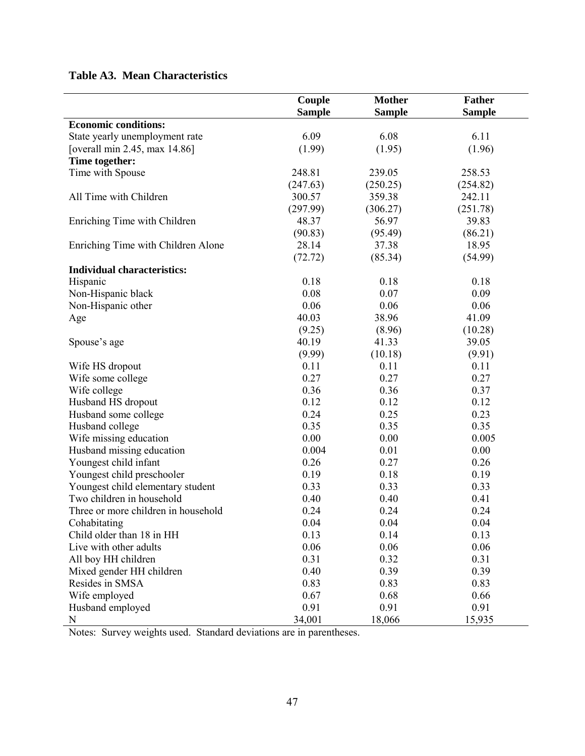## **Table A3. Mean Characteristics**

|                                     | Couple<br><b>Sample</b> | <b>Mother</b><br><b>Sample</b> | <b>Father</b><br><b>Sample</b> |
|-------------------------------------|-------------------------|--------------------------------|--------------------------------|
| <b>Economic conditions:</b>         |                         |                                |                                |
| State yearly unemployment rate      | 6.09                    | 6.08                           | 6.11                           |
| [overall min $2.45$ , max $14.86$ ] | (1.99)                  | (1.95)                         | (1.96)                         |
| Time together:                      |                         |                                |                                |
| Time with Spouse                    | 248.81                  | 239.05                         | 258.53                         |
|                                     | (247.63)                | (250.25)                       | (254.82)                       |
| All Time with Children              | 300.57                  | 359.38                         | 242.11                         |
|                                     | (297.99)                | (306.27)                       | (251.78)                       |
| Enriching Time with Children        | 48.37                   | 56.97                          | 39.83                          |
|                                     | (90.83)                 | (95.49)                        | (86.21)                        |
| Enriching Time with Children Alone  | 28.14                   | 37.38                          | 18.95                          |
|                                     | (72.72)                 | (85.34)                        | (54.99)                        |
| <b>Individual characteristics:</b>  |                         |                                |                                |
| Hispanic                            | 0.18                    | 0.18                           | 0.18                           |
| Non-Hispanic black                  | 0.08                    | 0.07                           | 0.09                           |
| Non-Hispanic other                  | 0.06                    | 0.06                           | 0.06                           |
|                                     | 40.03                   | 38.96                          | 41.09                          |
| Age                                 |                         |                                |                                |
|                                     | (9.25)                  | (8.96)                         | (10.28)                        |
| Spouse's age                        | 40.19                   | 41.33                          | 39.05                          |
|                                     | (9.99)                  | (10.18)                        | (9.91)                         |
| Wife HS dropout                     | 0.11                    | 0.11                           | 0.11                           |
| Wife some college                   | 0.27                    | 0.27                           | 0.27                           |
| Wife college                        | 0.36                    | 0.36                           | 0.37                           |
| Husband HS dropout                  | 0.12                    | 0.12                           | 0.12                           |
| Husband some college                | 0.24                    | 0.25                           | 0.23                           |
| Husband college                     | 0.35                    | 0.35                           | 0.35                           |
| Wife missing education              | 0.00                    | 0.00                           | 0.005                          |
| Husband missing education           | 0.004                   | 0.01                           | 0.00                           |
| Youngest child infant               | 0.26                    | 0.27                           | 0.26                           |
| Youngest child preschooler          | 0.19                    | 0.18                           | 0.19                           |
| Youngest child elementary student   | 0.33                    | 0.33                           | 0.33                           |
| Two children in household           | 0.40                    | 0.40                           | 0.41                           |
| Three or more children in household | 0.24                    | 0.24                           | 0.24                           |
| Cohabitating                        | 0.04                    | 0.04                           | 0.04                           |
| Child older than 18 in HH           | 0.13                    | 0.14                           | 0.13                           |
| Live with other adults              | 0.06                    | 0.06                           | 0.06                           |
| All boy HH children                 | 0.31                    | 0.32                           | 0.31                           |
| Mixed gender HH children            | 0.40                    | 0.39                           | 0.39                           |
| Resides in SMSA                     | 0.83                    | 0.83                           | 0.83                           |
| Wife employed                       | 0.67                    | 0.68                           | 0.66                           |
| Husband employed                    | 0.91                    | 0.91                           | 0.91                           |
| $\mathbf N$                         | 34,001                  | 18,066                         | 15,935                         |

Notes: Survey weights used. Standard deviations are in parentheses.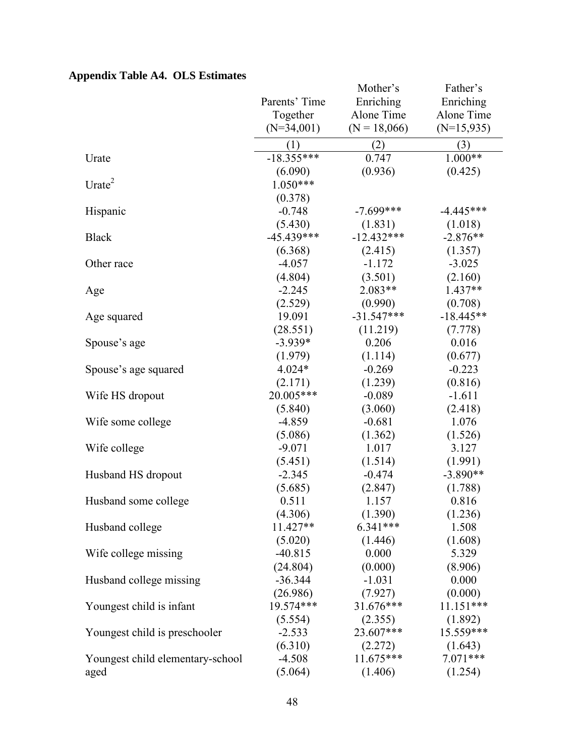# **Appendix Table A4. OLS Estimates**

|                                  |               | Mother's       | Father's     |
|----------------------------------|---------------|----------------|--------------|
|                                  | Parents' Time | Enriching      | Enriching    |
|                                  | Together      | Alone Time     | Alone Time   |
|                                  | $(N=34,001)$  | $(N = 18,066)$ | $(N=15,935)$ |
|                                  | (1)           | (2)            | (3)          |
| Urate                            | $-18.355***$  | 0.747          | $1.000**$    |
|                                  | (6.090)       | (0.936)        | (0.425)      |
| Urate $2$                        | $1.050***$    |                |              |
|                                  | (0.378)       |                |              |
| Hispanic                         | $-0.748$      | $-7.699***$    | $-4.445***$  |
|                                  | (5.430)       | (1.831)        | (1.018)      |
| <b>Black</b>                     | $-45.439***$  | $-12.432***$   | $-2.876**$   |
|                                  | (6.368)       | (2.415)        | (1.357)      |
| Other race                       | $-4.057$      | $-1.172$       | $-3.025$     |
|                                  | (4.804)       | (3.501)        | (2.160)      |
| Age                              | $-2.245$      | 2.083**        | 1.437**      |
|                                  | (2.529)       | (0.990)        | (0.708)      |
| Age squared                      | 19.091        | $-31.547***$   | $-18.445**$  |
|                                  | (28.551)      | (11.219)       | (7.778)      |
| Spouse's age                     | $-3.939*$     | 0.206          | 0.016        |
|                                  | (1.979)       | (1.114)        | (0.677)      |
| Spouse's age squared             | 4.024*        | $-0.269$       | $-0.223$     |
|                                  | (2.171)       | (1.239)        | (0.816)      |
| Wife HS dropout                  | 20.005***     | $-0.089$       | $-1.611$     |
|                                  | (5.840)       | (3.060)        | (2.418)      |
| Wife some college                | $-4.859$      | $-0.681$       | 1.076        |
|                                  | (5.086)       | (1.362)        | (1.526)      |
| Wife college                     | $-9.071$      | 1.017          | 3.127        |
|                                  | (5.451)       | (1.514)        | (1.991)      |
| Husband HS dropout               | $-2.345$      | $-0.474$       | $-3.890**$   |
|                                  | (5.685)       | (2.847)        | (1.788)      |
| Husband some college             | 0.511         | 1.157          | 0.816        |
|                                  | (4.306)       | (1.390)        | (1.236)      |
| Husband college                  | 11.427**      | $6.341***$     | 1.508        |
|                                  | (5.020)       | (1.446)        | (1.608)      |
| Wife college missing             | $-40.815$     | 0.000          | 5.329        |
|                                  | (24.804)      | (0.000)        | (8.906)      |
| Husband college missing          | $-36.344$     | $-1.031$       | 0.000        |
|                                  | (26.986)      | (7.927)        | (0.000)      |
| Youngest child is infant         | 19.574***     | 31.676***      | $11.151***$  |
|                                  | (5.554)       | (2.355)        | (1.892)      |
| Youngest child is preschooler    | $-2.533$      | 23.607***      | 15.559***    |
|                                  | (6.310)       | (2.272)        | (1.643)      |
| Youngest child elementary-school | $-4.508$      | 11.675***      | $7.071***$   |
| aged                             | (5.064)       | (1.406)        | (1.254)      |
|                                  |               |                |              |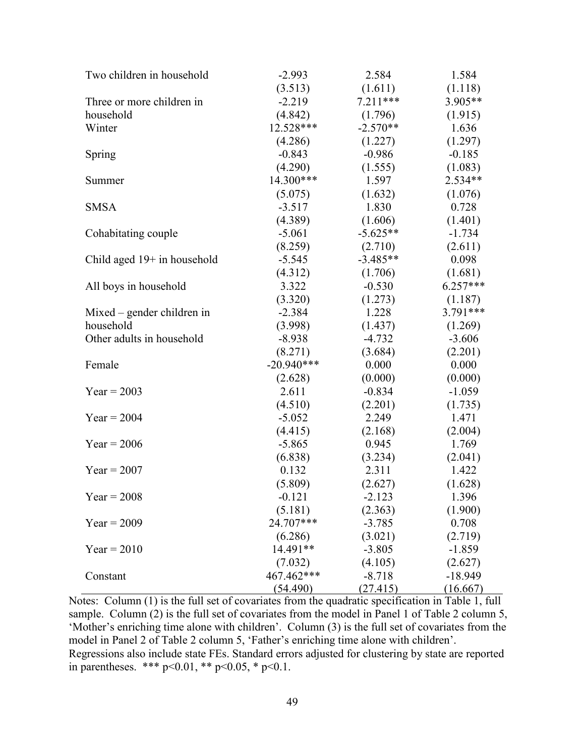| Two children in household     | $-2.993$     | 2.584      | 1.584      |
|-------------------------------|--------------|------------|------------|
|                               | (3.513)      | (1.611)    | (1.118)    |
| Three or more children in     | $-2.219$     | $7.211***$ | 3.905**    |
| household                     | (4.842)      | (1.796)    | (1.915)    |
| Winter                        | 12.528***    | $-2.570**$ | 1.636      |
|                               | (4.286)      | (1.227)    | (1.297)    |
| Spring                        | $-0.843$     | $-0.986$   | $-0.185$   |
|                               | (4.290)      | (1.555)    | (1.083)    |
| Summer                        | 14.300***    | 1.597      | 2.534**    |
|                               | (5.075)      | (1.632)    | (1.076)    |
| <b>SMSA</b>                   | $-3.517$     | 1.830      | 0.728      |
|                               | (4.389)      | (1.606)    | (1.401)    |
| Cohabitating couple           | $-5.061$     | $-5.625**$ | $-1.734$   |
|                               | (8.259)      | (2.710)    | (2.611)    |
| Child aged $19+$ in household | $-5.545$     | $-3.485**$ | 0.098      |
|                               | (4.312)      | (1.706)    | (1.681)    |
| All boys in household         | 3.322        | $-0.530$   | $6.257***$ |
|                               | (3.320)      | (1.273)    | (1.187)    |
| $Mixed$ – gender children in  | $-2.384$     | 1.228      | $3.791***$ |
| household                     | (3.998)      | (1.437)    | (1.269)    |
| Other adults in household     | $-8.938$     | $-4.732$   | $-3.606$   |
|                               | (8.271)      | (3.684)    | (2.201)    |
| Female                        | $-20.940***$ | 0.000      | 0.000      |
|                               | (2.628)      | (0.000)    | (0.000)    |
| $Year = 2003$                 | 2.611        | $-0.834$   | $-1.059$   |
|                               | (4.510)      | (2.201)    | (1.735)    |
| $Year = 2004$                 | $-5.052$     | 2.249      | 1.471      |
|                               | (4.415)      | (2.168)    | (2.004)    |
| $Year = 2006$                 | $-5.865$     | 0.945      | 1.769      |
|                               | (6.838)      | (3.234)    | (2.041)    |
| $Year = 2007$                 | 0.132        | 2.311      | 1.422      |
|                               | (5.809)      | (2.627)    | (1.628)    |
| $Year = 2008$                 | $-0.121$     | $-2.123$   | 1.396      |
|                               | (5.181)      | (2.363)    | (1.900)    |
| $Year = 2009$                 | 24.707***    | $-3.785$   | 0.708      |
|                               | (6.286)      | (3.021)    | (2.719)    |
| $Year = 2010$                 | 14.491**     | $-3.805$   | $-1.859$   |
|                               | (7.032)      | (4.105)    | (2.627)    |
| Constant                      | 467.462***   | $-8.718$   | $-18.949$  |
|                               | (54.490)     | (27.415)   | (16.667)   |

Notes: Column (1) is the full set of covariates from the quadratic specification in Table 1, full sample. Column (2) is the full set of covariates from the model in Panel 1 of Table 2 column 5, 'Mother's enriching time alone with children'. Column (3) is the full set of covariates from the model in Panel 2 of Table 2 column 5, 'Father's enriching time alone with children'. Regressions also include state FEs. Standard errors adjusted for clustering by state are reported in parentheses. \*\*\*  $p < 0.01$ , \*\*  $p < 0.05$ , \*  $p < 0.1$ .